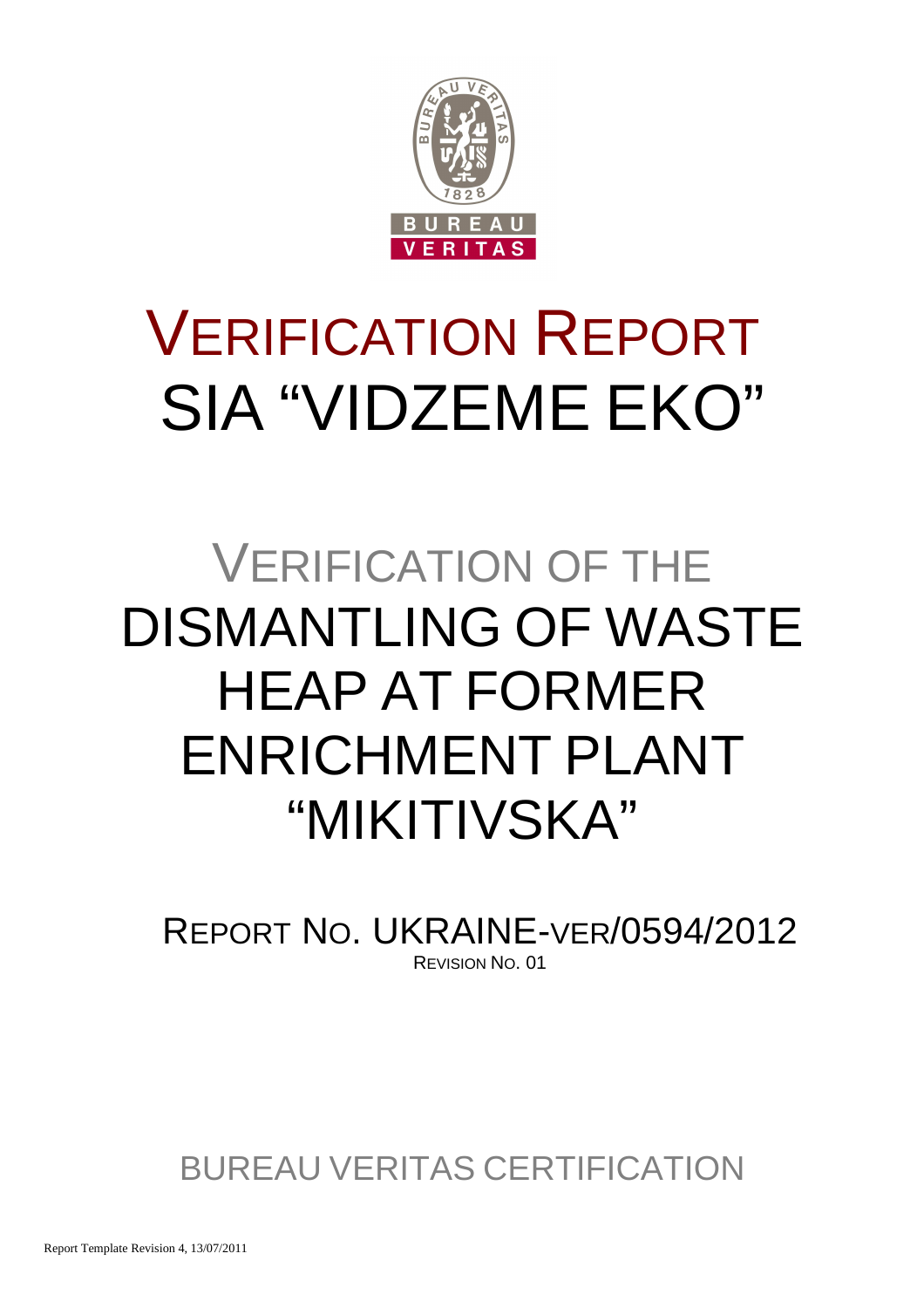

# VERIFICATION REPORT SIA "VIDZEME EKO"

## VERIFICATION OF THE DISMANTLING OF WASTE HEAP AT FORMER ENRICHMENT PLANT "MIKITIVSKA"

REPORT NO. UKRAINE-VER/0594/2012 REVISION NO. 01

BUREAU VERITAS CERTIFICATION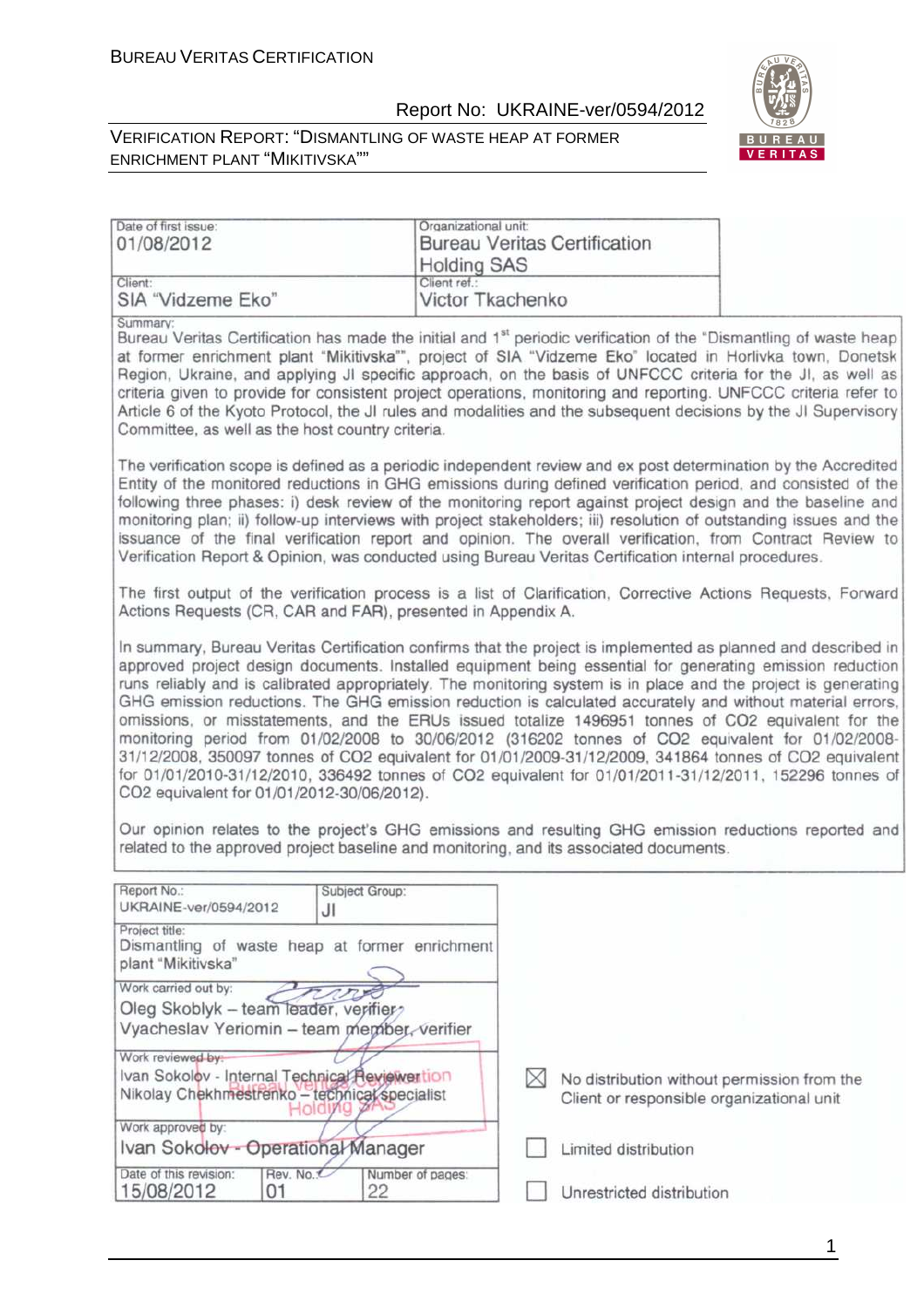

#### VERIFICATION REPORT: "DISMANTLING OF WASTE HEAP AT FORMER ENRICHMENT PLANT "MIKITIVSKA""

| Date of first issue:                                                                                                                                                                                                                                                                                                                                                                                                                                                                                                                                                                                                                                                                                                                                                                                                                                                                                                                                                                                                                                                                                                                    | Organizational unit:             |                                     |                                                                                          |
|-----------------------------------------------------------------------------------------------------------------------------------------------------------------------------------------------------------------------------------------------------------------------------------------------------------------------------------------------------------------------------------------------------------------------------------------------------------------------------------------------------------------------------------------------------------------------------------------------------------------------------------------------------------------------------------------------------------------------------------------------------------------------------------------------------------------------------------------------------------------------------------------------------------------------------------------------------------------------------------------------------------------------------------------------------------------------------------------------------------------------------------------|----------------------------------|-------------------------------------|------------------------------------------------------------------------------------------|
| 01/08/2012                                                                                                                                                                                                                                                                                                                                                                                                                                                                                                                                                                                                                                                                                                                                                                                                                                                                                                                                                                                                                                                                                                                              |                                  | <b>Bureau Veritas Certification</b> |                                                                                          |
|                                                                                                                                                                                                                                                                                                                                                                                                                                                                                                                                                                                                                                                                                                                                                                                                                                                                                                                                                                                                                                                                                                                                         | <b>Holding SAS</b>               |                                     |                                                                                          |
| Client:<br>SIA "Vidzeme Eko"                                                                                                                                                                                                                                                                                                                                                                                                                                                                                                                                                                                                                                                                                                                                                                                                                                                                                                                                                                                                                                                                                                            | Client ref.:<br>Victor Tkachenko |                                     |                                                                                          |
|                                                                                                                                                                                                                                                                                                                                                                                                                                                                                                                                                                                                                                                                                                                                                                                                                                                                                                                                                                                                                                                                                                                                         |                                  |                                     |                                                                                          |
| Summary:<br>Bureau Veritas Certification has made the initial and 1 <sup>st</sup> periodic verification of the "Dismantling of waste heap<br>at former enrichment plant "Mikitivska"", project of SIA "Vidzeme Eko" located in Horlivka town, Donetsk<br>Region, Ukraine, and applying JI specific approach, on the basis of UNFCCC criteria for the JI, as well as<br>criteria given to provide for consistent project operations, monitoring and reporting. UNFCCC criteria refer to<br>Article 6 of the Kyoto Protocol, the JI rules and modalities and the subsequent decisions by the JI Supervisory<br>Committee, as well as the host country criteria.                                                                                                                                                                                                                                                                                                                                                                                                                                                                           |                                  |                                     |                                                                                          |
| The verification scope is defined as a periodic independent review and ex post determination by the Accredited<br>Entity of the monitored reductions in GHG emissions during defined verification period, and consisted of the<br>following three phases: i) desk review of the monitoring report against project design and the baseline and<br>monitoring plan; ii) follow-up interviews with project stakeholders; iii) resolution of outstanding issues and the<br>issuance of the final verification report and opinion. The overall verification, from Contract Review to<br>Verification Report & Opinion, was conducted using Bureau Veritas Certification internal procedures.                                                                                                                                                                                                                                                                                                                                                                                                                                                 |                                  |                                     |                                                                                          |
| The first output of the verification process is a list of Clarification, Corrective Actions Requests, Forward<br>Actions Requests (CR, CAR and FAR), presented in Appendix A.                                                                                                                                                                                                                                                                                                                                                                                                                                                                                                                                                                                                                                                                                                                                                                                                                                                                                                                                                           |                                  |                                     |                                                                                          |
| In summary, Bureau Veritas Certification confirms that the project is implemented as planned and described in<br>approved project design documents. Installed equipment being essential for generating emission reduction<br>runs reliably and is calibrated appropriately. The monitoring system is in place and the project is generating<br>GHG emission reductions. The GHG emission reduction is calculated accurately and without material errors,<br>omissions, or misstatements, and the ERUs issued totalize 1496951 tonnes of CO2 equivalent for the<br>monitoring period from 01/02/2008 to 30/06/2012 (316202 tonnes of CO2 equivalent for 01/02/2008-<br>31/12/2008, 350097 tonnes of CO2 equivalent for 01/01/2009-31/12/2009, 341864 tonnes of CO2 equivalent<br>for 01/01/2010-31/12/2010, 336492 tonnes of CO2 equivalent for 01/01/2011-31/12/2011, 152296 tonnes of<br>CO2 equivalent for 01/01/2012-30/06/2012).<br>Our opinion relates to the project's GHG emissions and resulting GHG emission reductions reported and<br>related to the approved project baseline and monitoring, and its associated documents. |                                  |                                     |                                                                                          |
| Report No.:<br>Subject Group:                                                                                                                                                                                                                                                                                                                                                                                                                                                                                                                                                                                                                                                                                                                                                                                                                                                                                                                                                                                                                                                                                                           |                                  |                                     |                                                                                          |
| UKRAINE-ver/0594/2012<br>JI                                                                                                                                                                                                                                                                                                                                                                                                                                                                                                                                                                                                                                                                                                                                                                                                                                                                                                                                                                                                                                                                                                             |                                  |                                     |                                                                                          |
| Project title:<br>Dismantling of waste heap at former enrichment<br>plant "Mikitivska"                                                                                                                                                                                                                                                                                                                                                                                                                                                                                                                                                                                                                                                                                                                                                                                                                                                                                                                                                                                                                                                  |                                  |                                     |                                                                                          |
| Work carried out by:                                                                                                                                                                                                                                                                                                                                                                                                                                                                                                                                                                                                                                                                                                                                                                                                                                                                                                                                                                                                                                                                                                                    |                                  |                                     |                                                                                          |
| Oleg Skoblyk - team leader, verifier<br>Vyacheslav Yeriomin - team member, verifier                                                                                                                                                                                                                                                                                                                                                                                                                                                                                                                                                                                                                                                                                                                                                                                                                                                                                                                                                                                                                                                     |                                  |                                     |                                                                                          |
| Work reviewed by:                                                                                                                                                                                                                                                                                                                                                                                                                                                                                                                                                                                                                                                                                                                                                                                                                                                                                                                                                                                                                                                                                                                       |                                  |                                     |                                                                                          |
| Ivan Sokolov - Internal Technical Reviewertion<br>Nikolay Chekhmestrenko - technical specialist                                                                                                                                                                                                                                                                                                                                                                                                                                                                                                                                                                                                                                                                                                                                                                                                                                                                                                                                                                                                                                         |                                  |                                     | No distribution without permission from the<br>Client or responsible organizational unit |
| Work approved by:                                                                                                                                                                                                                                                                                                                                                                                                                                                                                                                                                                                                                                                                                                                                                                                                                                                                                                                                                                                                                                                                                                                       |                                  |                                     |                                                                                          |
| Ivan Sokolov - Operational Manager                                                                                                                                                                                                                                                                                                                                                                                                                                                                                                                                                                                                                                                                                                                                                                                                                                                                                                                                                                                                                                                                                                      |                                  | Limited distribution                |                                                                                          |
| Rev. No.<br>Date of this revision:<br>15/08/2012<br>01<br>22                                                                                                                                                                                                                                                                                                                                                                                                                                                                                                                                                                                                                                                                                                                                                                                                                                                                                                                                                                                                                                                                            | Number of pages:                 | Unrestricted distribution           |                                                                                          |

1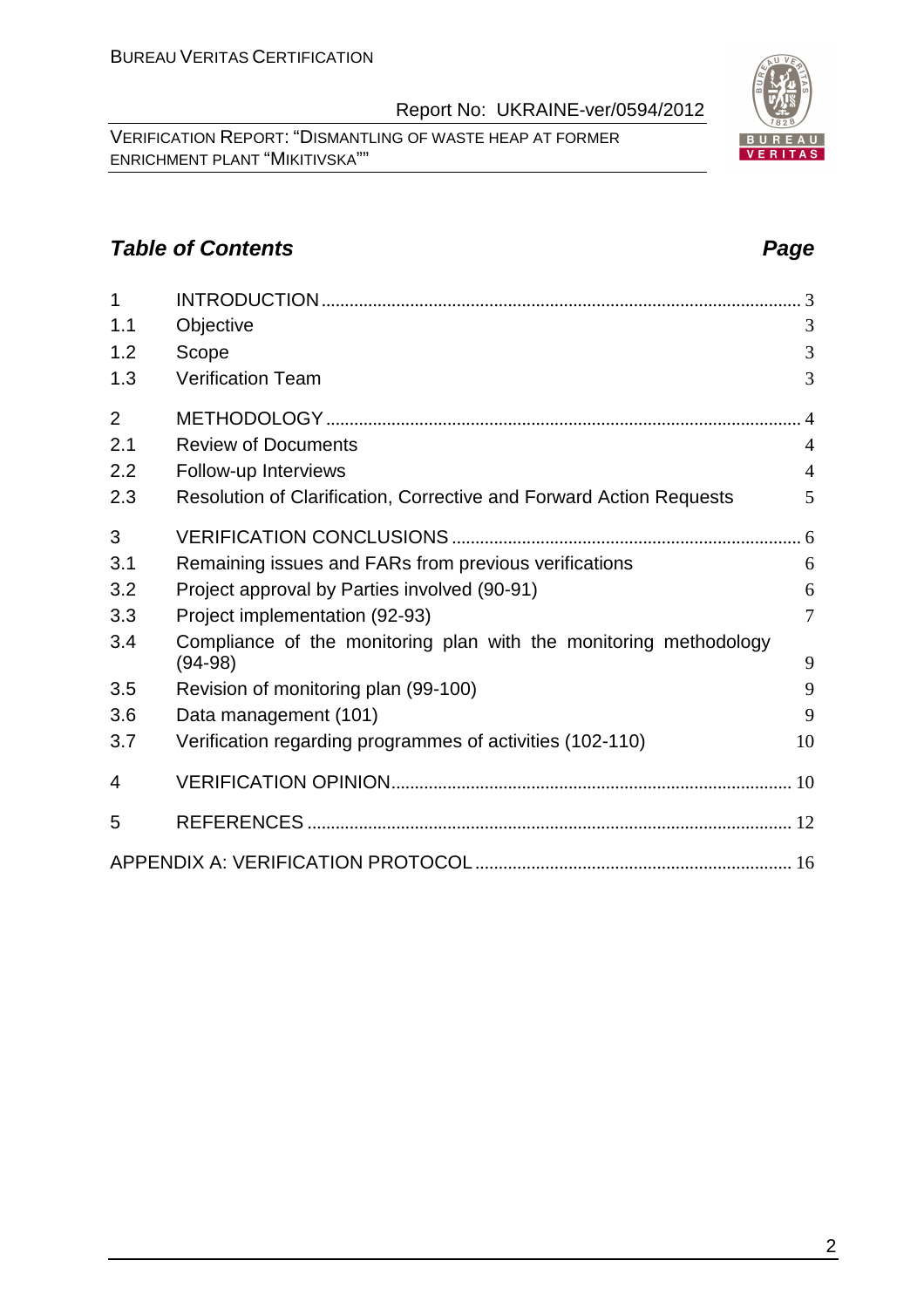VERIFICATION REPORT: "DISMANTLING OF WASTE HEAP AT FORMER ENRICHMENT PLANT "MIKITIVSKA""

#### **Table of Contents Page 2014**

| 1              |                                                                                | $\cdot$ 3      |
|----------------|--------------------------------------------------------------------------------|----------------|
| 1.1            | Objective                                                                      | 3              |
| 1.2            | Scope                                                                          | 3              |
| 1.3            | <b>Verification Team</b>                                                       | 3              |
| $\overline{2}$ |                                                                                | $\overline{4}$ |
| 2.1            | <b>Review of Documents</b>                                                     | $\overline{4}$ |
| 2.2            | Follow-up Interviews                                                           | $\overline{4}$ |
| 2.3            | Resolution of Clarification, Corrective and Forward Action Requests            | 5              |
| 3              |                                                                                |                |
| 3.1            | Remaining issues and FARs from previous verifications                          | 6              |
| 3.2            | Project approval by Parties involved (90-91)                                   | 6              |
| 3.3            | Project implementation (92-93)                                                 | $\overline{7}$ |
| 3.4            | Compliance of the monitoring plan with the monitoring methodology<br>$(94-98)$ | 9              |
| 3.5            | Revision of monitoring plan (99-100)                                           | 9              |
| 3.6            | Data management (101)                                                          | 9              |
| 3.7            | Verification regarding programmes of activities (102-110)                      | 10             |
| 4              |                                                                                |                |
| 5              |                                                                                |                |
|                |                                                                                |                |
|                |                                                                                |                |
|                |                                                                                |                |

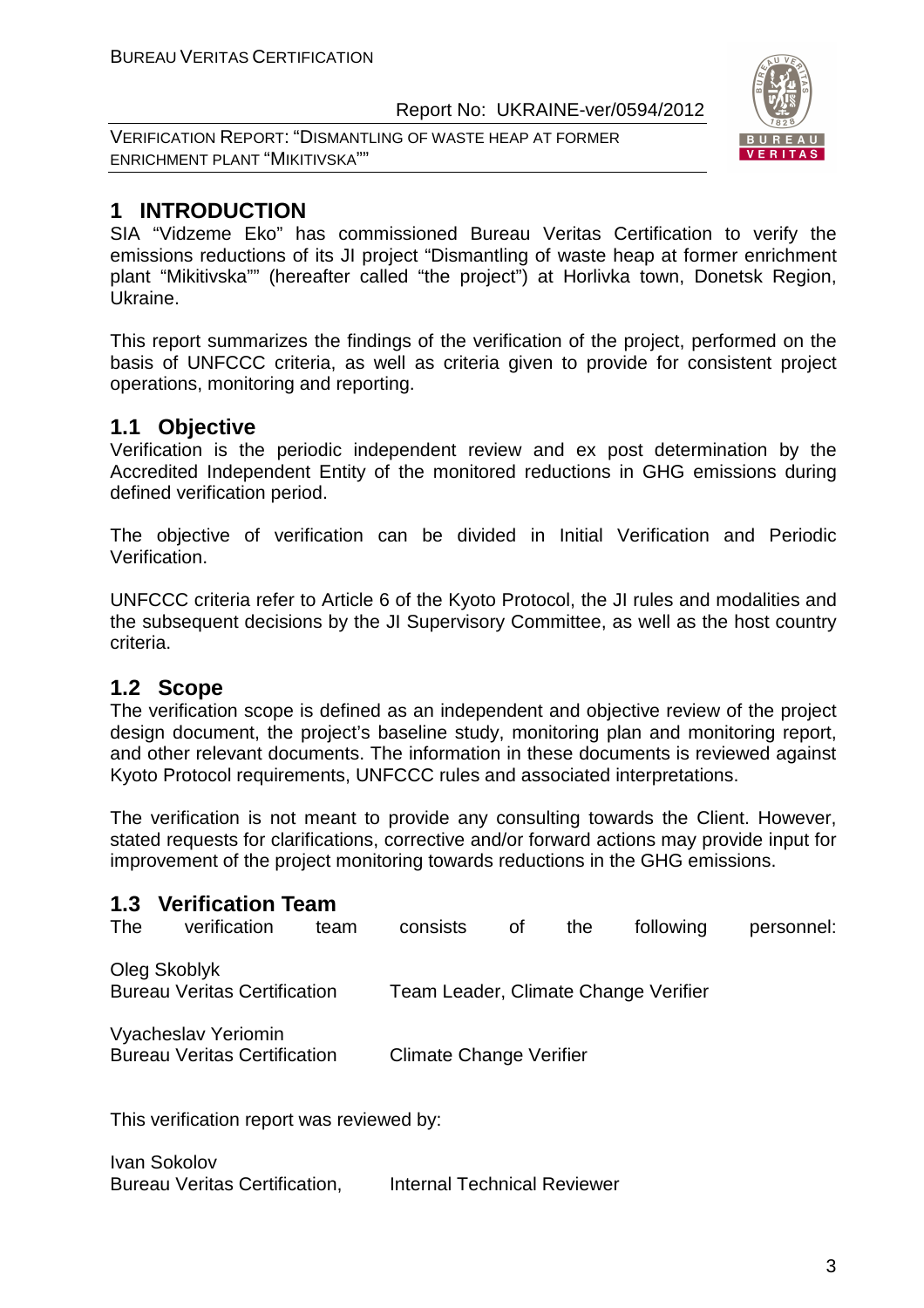VERIFICATION REPORT: "DISMANTLING OF WASTE HEAP AT FORMER ENRICHMENT PLANT "MIKITIVSKA""



### **1 INTRODUCTION**

SIA "Vidzeme Eko" has commissioned Bureau Veritas Certification to verify the emissions reductions of its JI project "Dismantling of waste heap at former enrichment plant "Mikitivska"" (hereafter called "the project") at Horlivka town, Donetsk Region, Ukraine.

This report summarizes the findings of the verification of the project, performed on the basis of UNFCCC criteria, as well as criteria given to provide for consistent project operations, monitoring and reporting.

#### **1.1 Objective**

Verification is the periodic independent review and ex post determination by the Accredited Independent Entity of the monitored reductions in GHG emissions during defined verification period.

The objective of verification can be divided in Initial Verification and Periodic Verification.

UNFCCC criteria refer to Article 6 of the Kyoto Protocol, the JI rules and modalities and the subsequent decisions by the JI Supervisory Committee, as well as the host country criteria.

#### **1.2 Scope**

The verification scope is defined as an independent and objective review of the project design document, the project's baseline study, monitoring plan and monitoring report, and other relevant documents. The information in these documents is reviewed against Kyoto Protocol requirements, UNFCCC rules and associated interpretations.

The verification is not meant to provide any consulting towards the Client. However, stated requests for clarifications, corrective and/or forward actions may provide input for improvement of the project monitoring towards reductions in the GHG emissions.

#### **1.3 Verification Team**

| The | verification                                               | team | consists                       | οf | the | following                            | personnel: |
|-----|------------------------------------------------------------|------|--------------------------------|----|-----|--------------------------------------|------------|
|     | Oleg Skoblyk<br><b>Bureau Veritas Certification</b>        |      |                                |    |     | Team Leader, Climate Change Verifier |            |
|     | Vyacheslav Yeriomin<br><b>Bureau Veritas Certification</b> |      | <b>Climate Change Verifier</b> |    |     |                                      |            |

This verification report was reviewed by:

Ivan Sokolov Bureau Veritas Certification, Internal Technical Reviewer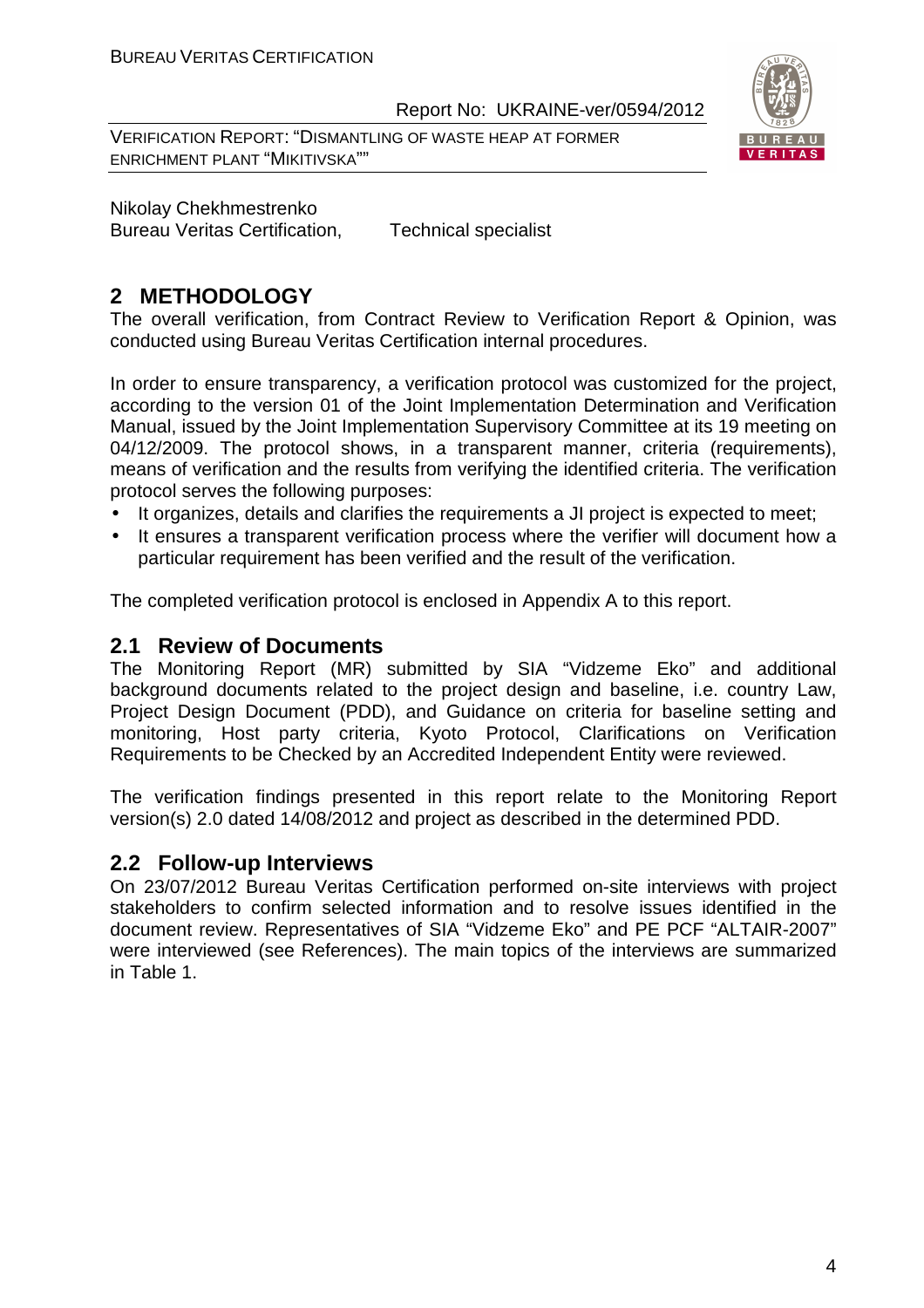VERIFICATION REPORT: "DISMANTLING OF WASTE HEAP AT FORMER ENRICHMENT PLANT "MIKITIVSKA""



Nikolay Chekhmestrenko Bureau Veritas Certification, Technical specialist

#### **2 METHODOLOGY**

The overall verification, from Contract Review to Verification Report & Opinion, was conducted using Bureau Veritas Certification internal procedures.

In order to ensure transparency, a verification protocol was customized for the project, according to the version 01 of the Joint Implementation Determination and Verification Manual, issued by the Joint Implementation Supervisory Committee at its 19 meeting on 04/12/2009. The protocol shows, in a transparent manner, criteria (requirements), means of verification and the results from verifying the identified criteria. The verification protocol serves the following purposes:

- It organizes, details and clarifies the requirements a JI project is expected to meet;
- It ensures a transparent verification process where the verifier will document how a particular requirement has been verified and the result of the verification.

The completed verification protocol is enclosed in Appendix A to this report.

#### **2.1 Review of Documents**

The Monitoring Report (MR) submitted by SIA "Vidzeme Eko" and additional background documents related to the project design and baseline, i.e. country Law, Project Design Document (PDD), and Guidance on criteria for baseline setting and monitoring, Host party criteria, Kyoto Protocol, Clarifications on Verification Requirements to be Checked by an Accredited Independent Entity were reviewed.

The verification findings presented in this report relate to the Monitoring Report version(s) 2.0 dated 14/08/2012 and project as described in the determined PDD.

#### **2.2 Follow-up Interviews**

On 23/07/2012 Bureau Veritas Certification performed on-site interviews with project stakeholders to confirm selected information and to resolve issues identified in the document review. Representatives of SIA "Vidzeme Eko" and PE PCF "ALTAIR-2007" were interviewed (see References). The main topics of the interviews are summarized in Table 1.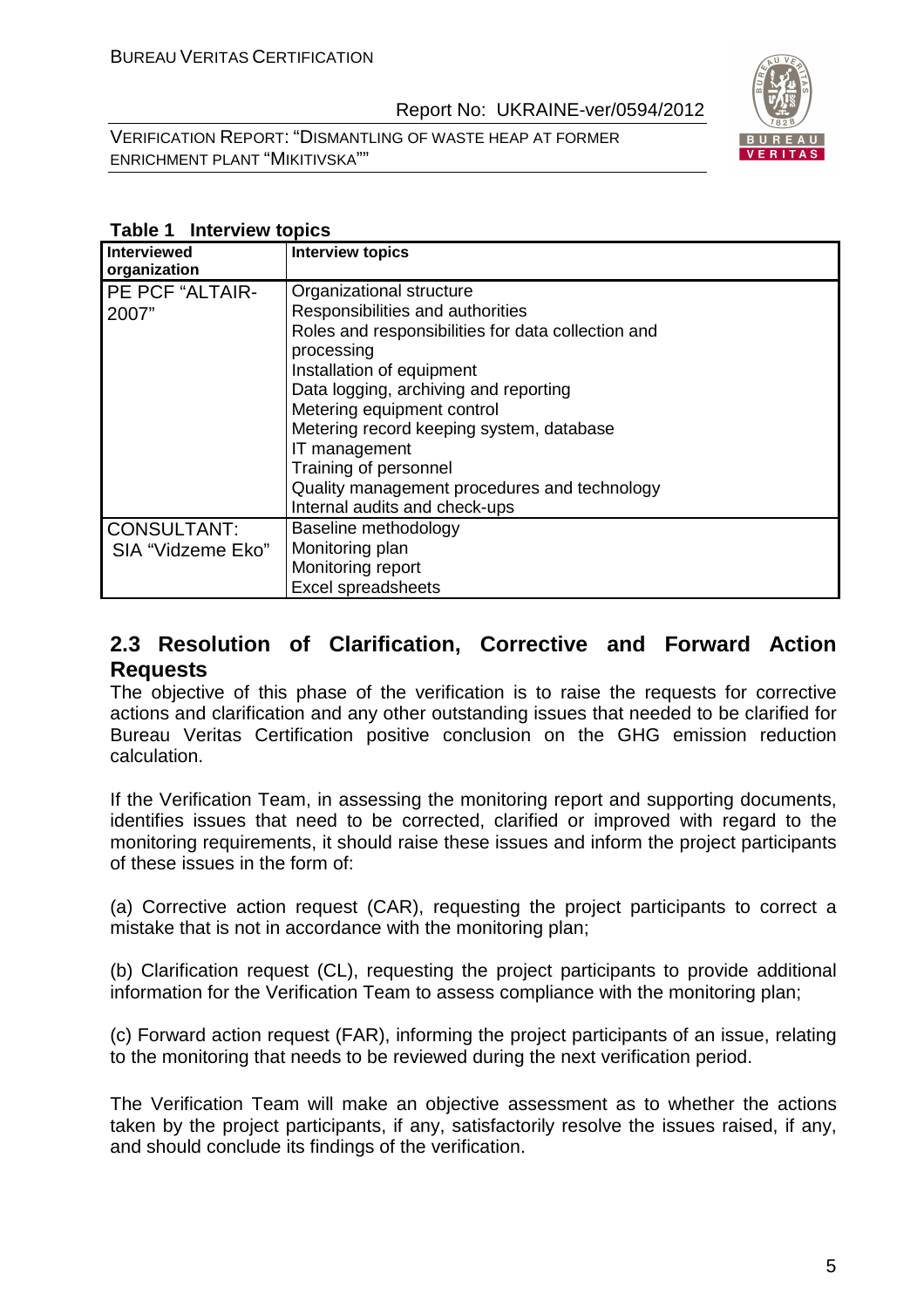VERIFICATION REPORT: "DISMANTLING OF WASTE HEAP AT FORMER ENRICHMENT PLANT "MIKITIVSKA""



| $1800 - 11001$<br><b>Interviewed</b> | <b>Interview topics</b>                            |
|--------------------------------------|----------------------------------------------------|
| organization                         |                                                    |
| PE PCF "ALTAIR-                      | Organizational structure                           |
| 2007"                                | Responsibilities and authorities                   |
|                                      | Roles and responsibilities for data collection and |
|                                      | processing                                         |
|                                      | Installation of equipment                          |
|                                      | Data logging, archiving and reporting              |
|                                      | Metering equipment control                         |
|                                      | Metering record keeping system, database           |
|                                      | IT management                                      |
|                                      | Training of personnel                              |
|                                      | Quality management procedures and technology       |
|                                      | Internal audits and check-ups                      |
| <b>CONSULTANT:</b>                   | Baseline methodology                               |
| SIA "Vidzeme Eko"                    | Monitoring plan                                    |
|                                      | Monitoring report                                  |
|                                      | Excel spreadsheets                                 |

#### **Table 1 Interview topics**

#### **2.3 Resolution of Clarification, Corrective and Forward Action Requests**

The objective of this phase of the verification is to raise the requests for corrective actions and clarification and any other outstanding issues that needed to be clarified for Bureau Veritas Certification positive conclusion on the GHG emission reduction calculation.

If the Verification Team, in assessing the monitoring report and supporting documents, identifies issues that need to be corrected, clarified or improved with regard to the monitoring requirements, it should raise these issues and inform the project participants of these issues in the form of:

(a) Corrective action request (CAR), requesting the project participants to correct a mistake that is not in accordance with the monitoring plan;

(b) Clarification request (CL), requesting the project participants to provide additional information for the Verification Team to assess compliance with the monitoring plan;

(c) Forward action request (FAR), informing the project participants of an issue, relating to the monitoring that needs to be reviewed during the next verification period.

The Verification Team will make an objective assessment as to whether the actions taken by the project participants, if any, satisfactorily resolve the issues raised, if any, and should conclude its findings of the verification.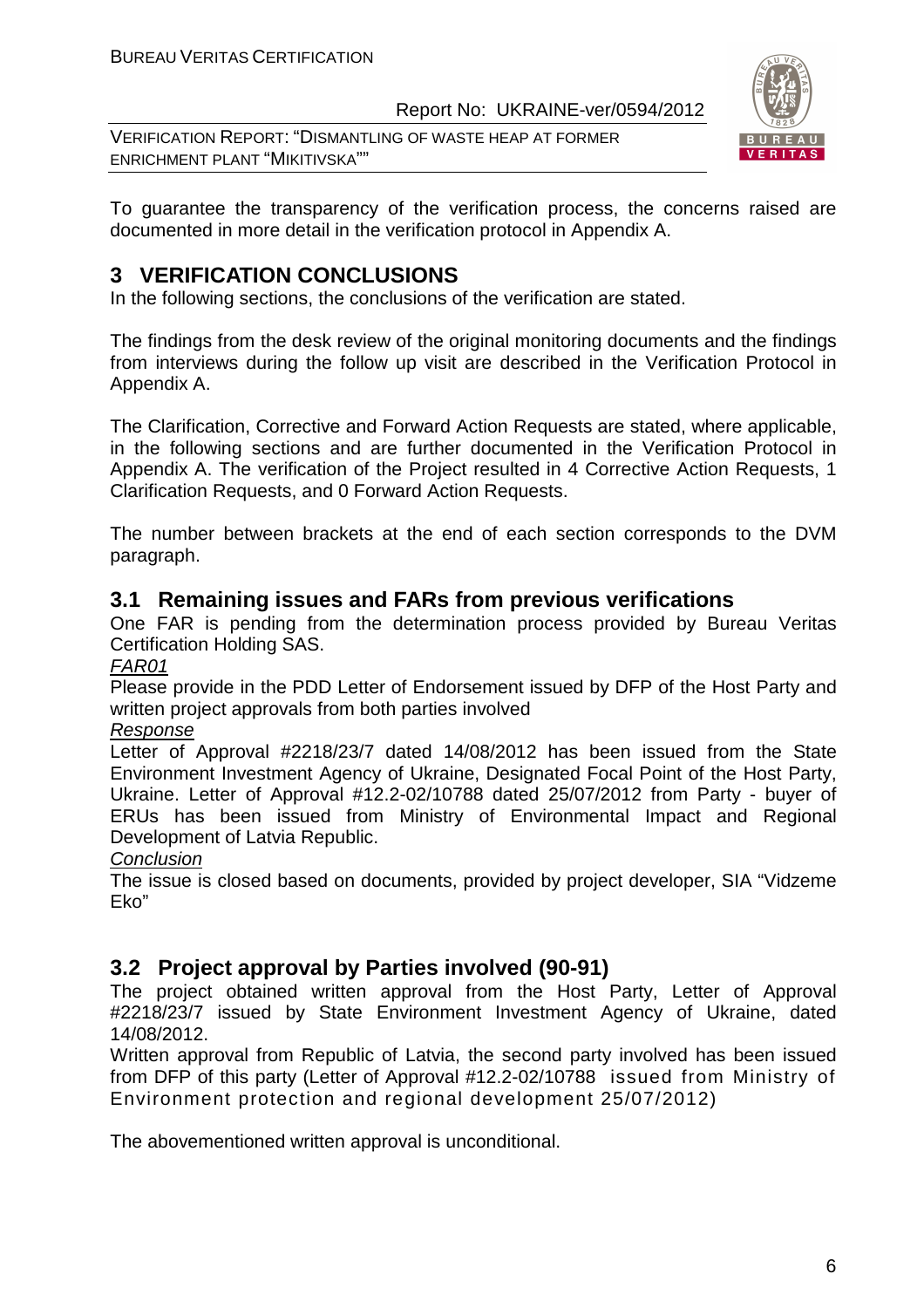VERIFICATION REPORT: "DISMANTLING OF WASTE HEAP AT FORMER ENRICHMENT PLANT "MIKITIVSKA""



To guarantee the transparency of the verification process, the concerns raised are documented in more detail in the verification protocol in Appendix A.

#### **3 VERIFICATION CONCLUSIONS**

In the following sections, the conclusions of the verification are stated.

The findings from the desk review of the original monitoring documents and the findings from interviews during the follow up visit are described in the Verification Protocol in Appendix A.

The Clarification, Corrective and Forward Action Requests are stated, where applicable, in the following sections and are further documented in the Verification Protocol in Appendix A. The verification of the Project resulted in 4 Corrective Action Requests, 1 Clarification Requests, and 0 Forward Action Requests.

The number between brackets at the end of each section corresponds to the DVM paragraph.

#### **3.1 Remaining issues and FARs from previous verifications**

One FAR is pending from the determination process provided by Bureau Veritas Certification Holding SAS.

FAR01

Please provide in the PDD Letter of Endorsement issued by DFP of the Host Party and written project approvals from both parties involved

#### Response

Letter of Approval #2218/23/7 dated 14/08/2012 has been issued from the State Environment Investment Agency of Ukraine, Designated Focal Point of the Host Party, Ukraine. Letter of Approval #12.2-02/10788 dated 25/07/2012 from Party - buyer of ERUs has been issued from Ministry of Environmental Impact and Regional Development of Latvia Republic.

#### **Conclusion**

The issue is closed based on documents, provided by project developer, SIA "Vidzeme Eko"

#### **3.2 Project approval by Parties involved (90-91)**

The project obtained written approval from the Host Party, Letter of Approval #2218/23/7 issued by State Environment Investment Agency of Ukraine, dated 14/08/2012.

Written approval from Republic of Latvia, the second party involved has been issued from DFP of this party (Letter of Approval #12.2-02/10788 issued from Ministry of Environment protection and regional development 25/07/2012)

The abovementioned written approval is unconditional.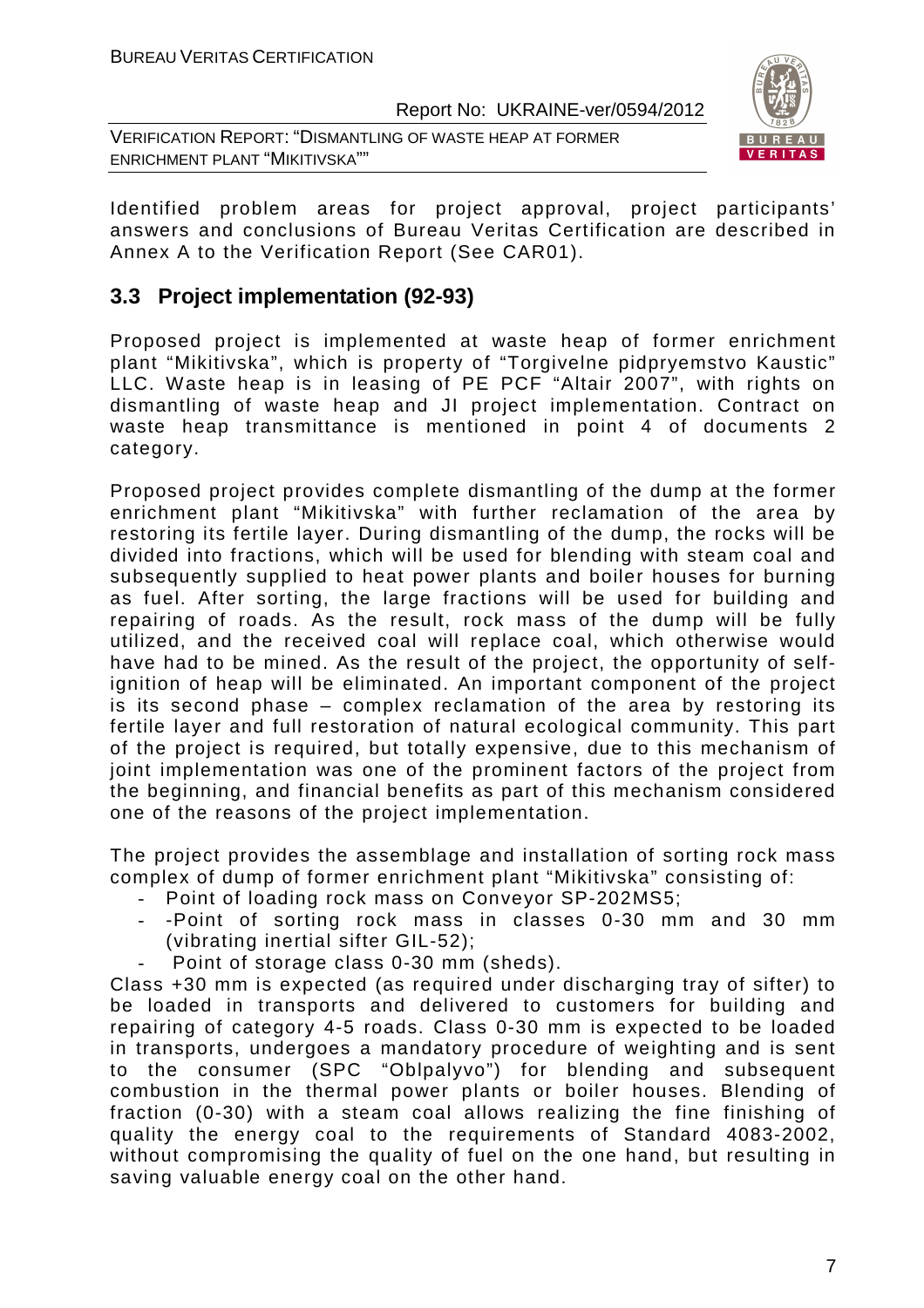VERIFICATION REPORT: "DISMANTLING OF WASTE HEAP AT FORMER ENRICHMENT PLANT "MIKITIVSKA""



Identified problem areas for project approval, project participants' answers and conclusions of Bureau Veritas Certification are described in Annex A to the Verification Report (See CAR01).

#### **3.3 Project implementation (92-93)**

Proposed project is implemented at waste heap of former enrichment plant "Mikitivska", which is property of "Torgivelne pidpryemstvo Kaustic" LLC. Waste heap is in leasing of PE PCF "Altair 2007", with rights on dismantling of waste heap and JI project implementation. Contract on waste heap transmittance is mentioned in point 4 of documents 2 category.

Proposed project provides complete dismantling of the dump at the former enrichment plant "Mikitivska" with further reclamation of the area by restoring its fertile layer. During dismantling of the dump, the rocks will be divided into fractions, which will be used for blending with steam coal and subsequently supplied to heat power plants and boiler houses for burning as fuel. After sorting, the large fractions will be used for building and repairing of roads. As the result, rock mass of the dump will be fully utilized, and the received coal will replace coal, which otherwise would have had to be mined. As the result of the project, the opportunity of selfignition of heap will be eliminated. An important component of the project is its second phase – complex reclamation of the area by restoring its fertile layer and full restoration of natural ecological community. This part of the project is required, but totally expensive, due to this mechanism of joint implementation was one of the prominent factors of the project from the beginning, and financial benefits as part of this mechanism considered one of the reasons of the project implementation.

The project provides the assemblage and installation of sorting rock mass complex of dump of former enrichment plant "Mikitivska" consisting of:

- Point of loading rock mass on Conveyor SP-202MS5;
- -Point of sorting rock mass in classes 0-30 mm and 30 mm (vibrating inertial sifter GIL-52);
- Point of storage class 0-30 mm (sheds).

Class +30 mm is expected (as required under discharging tray of sifter) to be loaded in transports and delivered to customers for building and repairing of category 4-5 roads. Class 0-30 mm is expected to be loaded in transports, undergoes a mandatory procedure of weighting and is sent to the consumer (SPC "Oblpalyvo") for blending and subsequent combustion in the thermal power plants or boiler houses. Blending of fraction (0-30) with a steam coal allows realizing the fine finishing of quality the energy coal to the requirements of Standard 4083-2002, without compromising the quality of fuel on the one hand, but resulting in saving valuable energy coal on the other hand.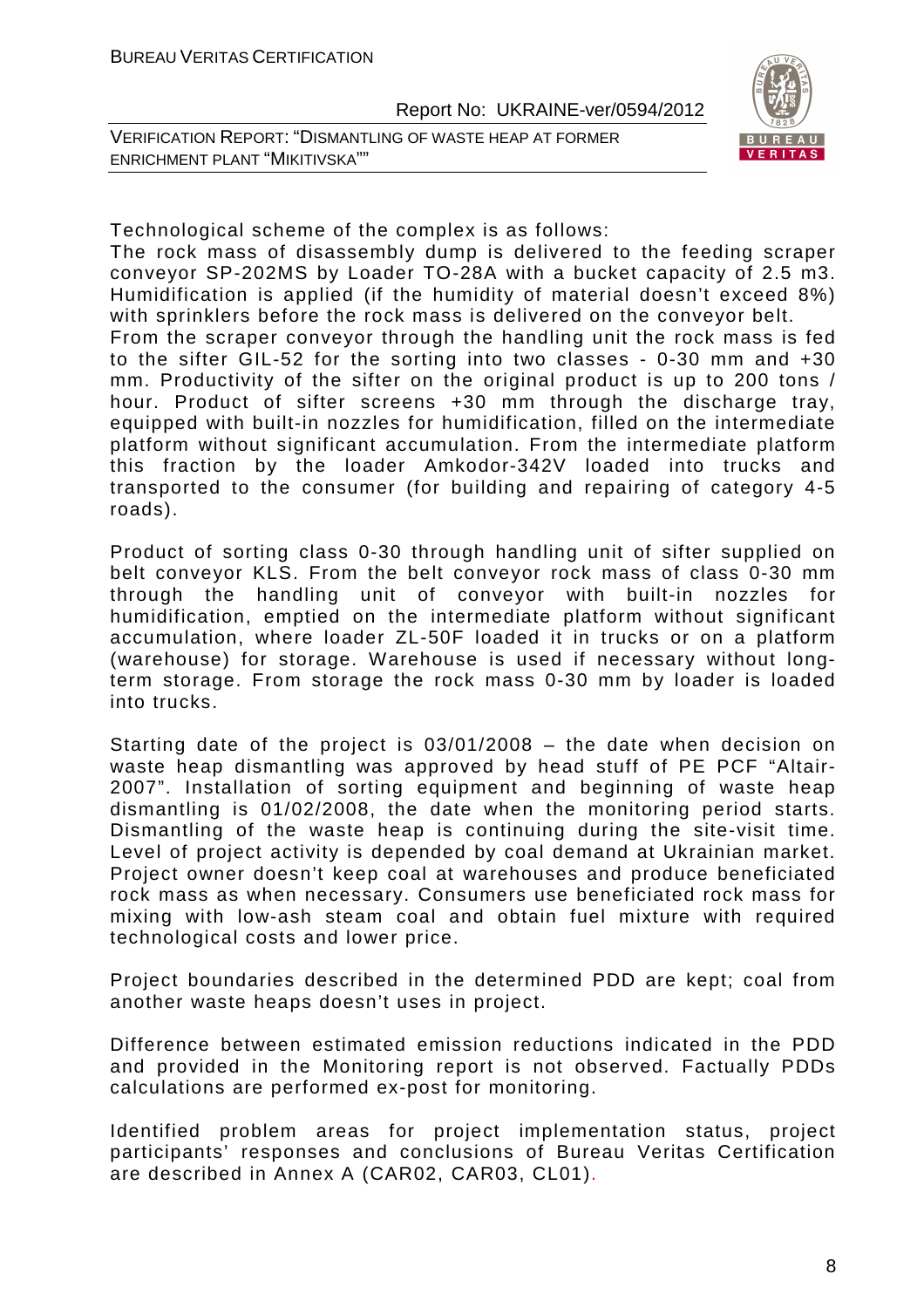VERIFICATION REPORT: "DISMANTLING OF WASTE HEAP AT FORMER ENRICHMENT PLANT "MIKITIVSKA""



Technological scheme of the complex is as follows:

The rock mass of disassembly dump is delivered to the feeding scraper conveyor SP-202MS by Loader TO-28A with a bucket capacity of 2.5 m3. Humidification is applied (if the humidity of material doesn't exceed 8%) with sprinklers before the rock mass is delivered on the conveyor belt. From the scraper conveyor through the handling unit the rock mass is fed to the sifter GIL-52 for the sorting into two classes - 0-30 mm and +30 mm. Productivity of the sifter on the original product is up to 200 tons / hour. Product of sifter screens +30 mm through the discharge tray, equipped with built-in nozzles for humidification, filled on the intermediate platform without significant accumulation. From the intermediate platform this fraction by the loader Amkodor-342V loaded into trucks and transported to the consumer (for building and repairing of category 4-5 roads).

Product of sorting class 0-30 through handling unit of sifter supplied on belt conveyor KLS. From the belt conveyor rock mass of class 0-30 mm through the handling unit of conveyor with built-in nozzles for humidification, emptied on the intermediate platform without significant accumulation, where loader ZL-50F loaded it in trucks or on a platform (warehouse) for storage. Warehouse is used if necessary without longterm storage. From storage the rock mass 0-30 mm by loader is loaded into trucks.

Starting date of the project is 03/01/2008 – the date when decision on waste heap dismantling was approved by head stuff of PE PCF "Altair-2007". Installation of sorting equipment and beginning of waste heap dismantling is 01/02/2008, the date when the monitoring period starts. Dismantling of the waste heap is continuing during the site-visit time. Level of project activity is depended by coal demand at Ukrainian market. Project owner doesn't keep coal at warehouses and produce beneficiated rock mass as when necessary. Consumers use beneficiated rock mass for mixing with low-ash steam coal and obtain fuel mixture with required technological costs and lower price.

Project boundaries described in the determined PDD are kept; coal from another waste heaps doesn't uses in project.

Difference between estimated emission reductions indicated in the PDD and provided in the Monitoring report is not observed. Factually PDDs calculations are performed ex-post for monitoring.

Identified problem areas for project implementation status, project participants' responses and conclusions of Bureau Veritas Certification are described in Annex A (CAR02, CAR03, CL01).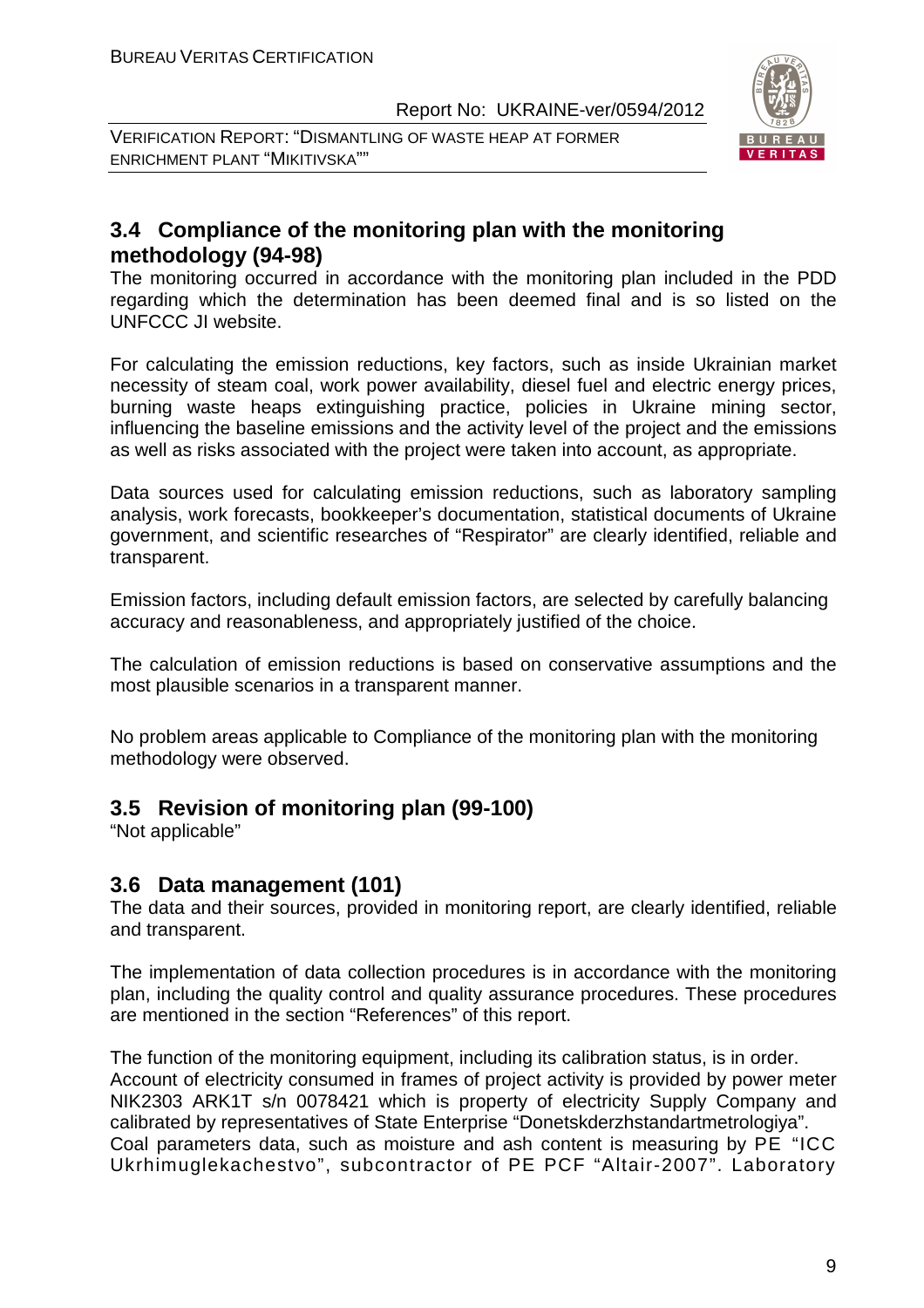VERIFICATION REPORT: "DISMANTLING OF WASTE HEAP AT FORMER ENRICHMENT PLANT "MIKITIVSKA""



#### **3.4 Compliance of the monitoring plan with the monitoring methodology (94-98)**

The monitoring occurred in accordance with the monitoring plan included in the PDD regarding which the determination has been deemed final and is so listed on the UNFCCC JI website.

For calculating the emission reductions, key factors, such as inside Ukrainian market necessity of steam coal, work power availability, diesel fuel and electric energy prices, burning waste heaps extinguishing practice, policies in Ukraine mining sector, influencing the baseline emissions and the activity level of the project and the emissions as well as risks associated with the project were taken into account, as appropriate.

Data sources used for calculating emission reductions, such as laboratory sampling analysis, work forecasts, bookkeeper's documentation, statistical documents of Ukraine government, and scientific researches of "Respirator" are clearly identified, reliable and transparent.

Emission factors, including default emission factors, are selected by carefully balancing accuracy and reasonableness, and appropriately justified of the choice.

The calculation of emission reductions is based on conservative assumptions and the most plausible scenarios in a transparent manner.

No problem areas applicable to Compliance of the monitoring plan with the monitoring methodology were observed.

#### **3.5 Revision of monitoring plan (99-100)**

"Not applicable"

#### **3.6 Data management (101)**

The data and their sources, provided in monitoring report, are clearly identified, reliable and transparent.

The implementation of data collection procedures is in accordance with the monitoring plan, including the quality control and quality assurance procedures. These procedures are mentioned in the section "References" of this report.

The function of the monitoring equipment, including its calibration status, is in order. Account of electricity consumed in frames of project activity is provided by power meter NIK2303 ARK1T s/n 0078421 which is property of electricity Supply Company and calibrated by representatives of State Enterprise "Donetskderzhstandartmetrologiya". Coal parameters data, such as moisture and ash content is measuring by PE "ICC Ukrhimuglekachestvo", subcontractor of PE PCF "Altair-2007". Laboratory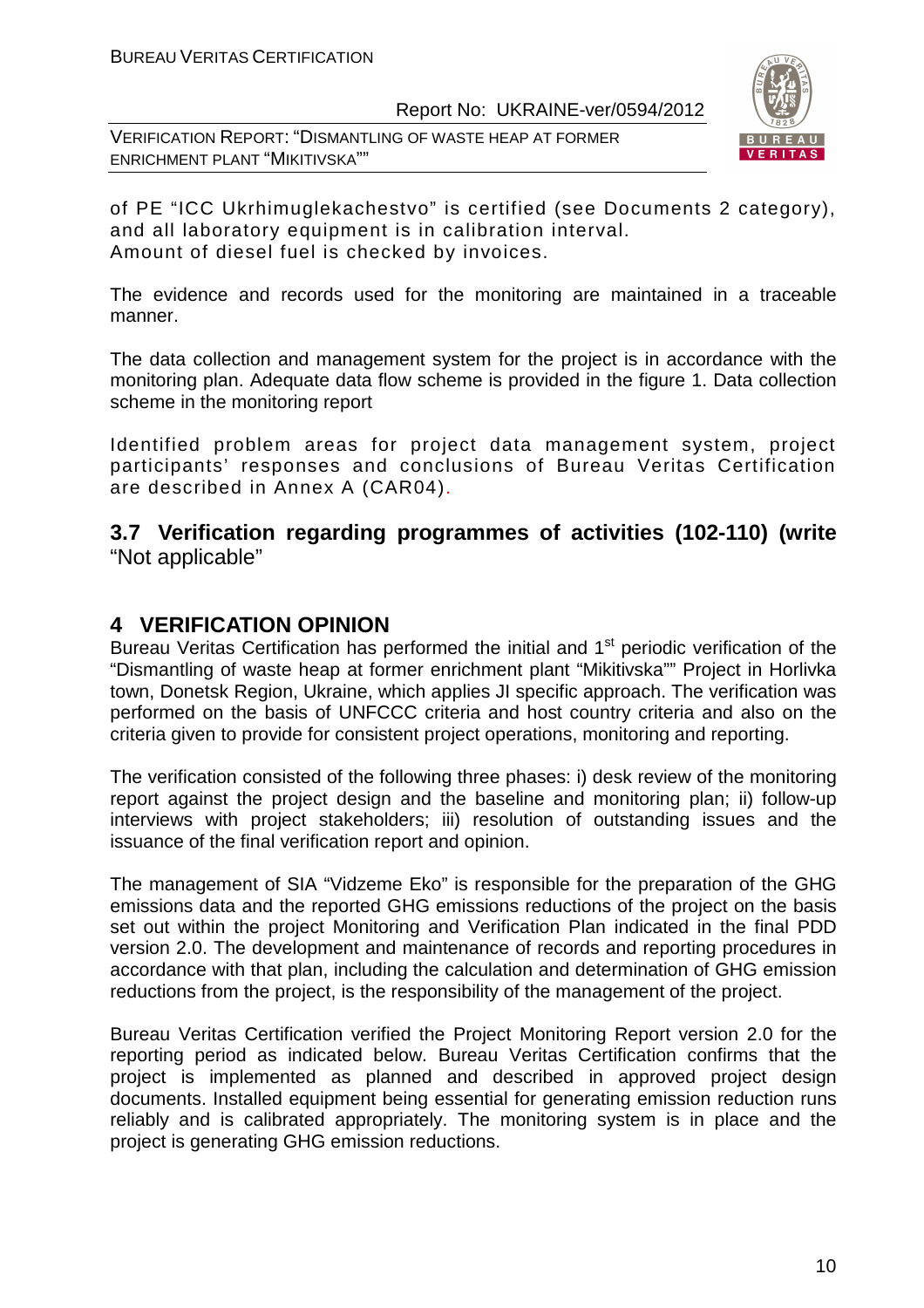VERIFICATION REPORT: "DISMANTLING OF WASTE HEAP AT FORMER ENRICHMENT PLANT "MIKITIVSKA""



of PE "ICC Ukrhimuglekachestvo" is certified (see Documents 2 category), and all laboratory equipment is in calibration interval. Amount of diesel fuel is checked by invoices.

The evidence and records used for the monitoring are maintained in a traceable manner.

The data collection and management system for the project is in accordance with the monitoring plan. Adequate data flow scheme is provided in the figure 1. Data collection scheme in the monitoring report

Identified problem areas for project data management system, project participants' responses and conclusions of Bureau Veritas Certification are described in Annex A (CAR04).

#### **3.7 Verification regarding programmes of activities (102-110) (write**  "Not applicable"

#### **4 VERIFICATION OPINION**

Bureau Veritas Certification has performed the initial and 1<sup>st</sup> periodic verification of the "Dismantling of waste heap at former enrichment plant "Mikitivska"" Project in Horlivka town, Donetsk Region, Ukraine, which applies JI specific approach. The verification was performed on the basis of UNFCCC criteria and host country criteria and also on the criteria given to provide for consistent project operations, monitoring and reporting.

The verification consisted of the following three phases: i) desk review of the monitoring report against the project design and the baseline and monitoring plan; ii) follow-up interviews with project stakeholders; iii) resolution of outstanding issues and the issuance of the final verification report and opinion.

The management of SIA "Vidzeme Eko" is responsible for the preparation of the GHG emissions data and the reported GHG emissions reductions of the project on the basis set out within the project Monitoring and Verification Plan indicated in the final PDD version 2.0. The development and maintenance of records and reporting procedures in accordance with that plan, including the calculation and determination of GHG emission reductions from the project, is the responsibility of the management of the project.

Bureau Veritas Certification verified the Project Monitoring Report version 2.0 for the reporting period as indicated below. Bureau Veritas Certification confirms that the project is implemented as planned and described in approved project design documents. Installed equipment being essential for generating emission reduction runs reliably and is calibrated appropriately. The monitoring system is in place and the project is generating GHG emission reductions.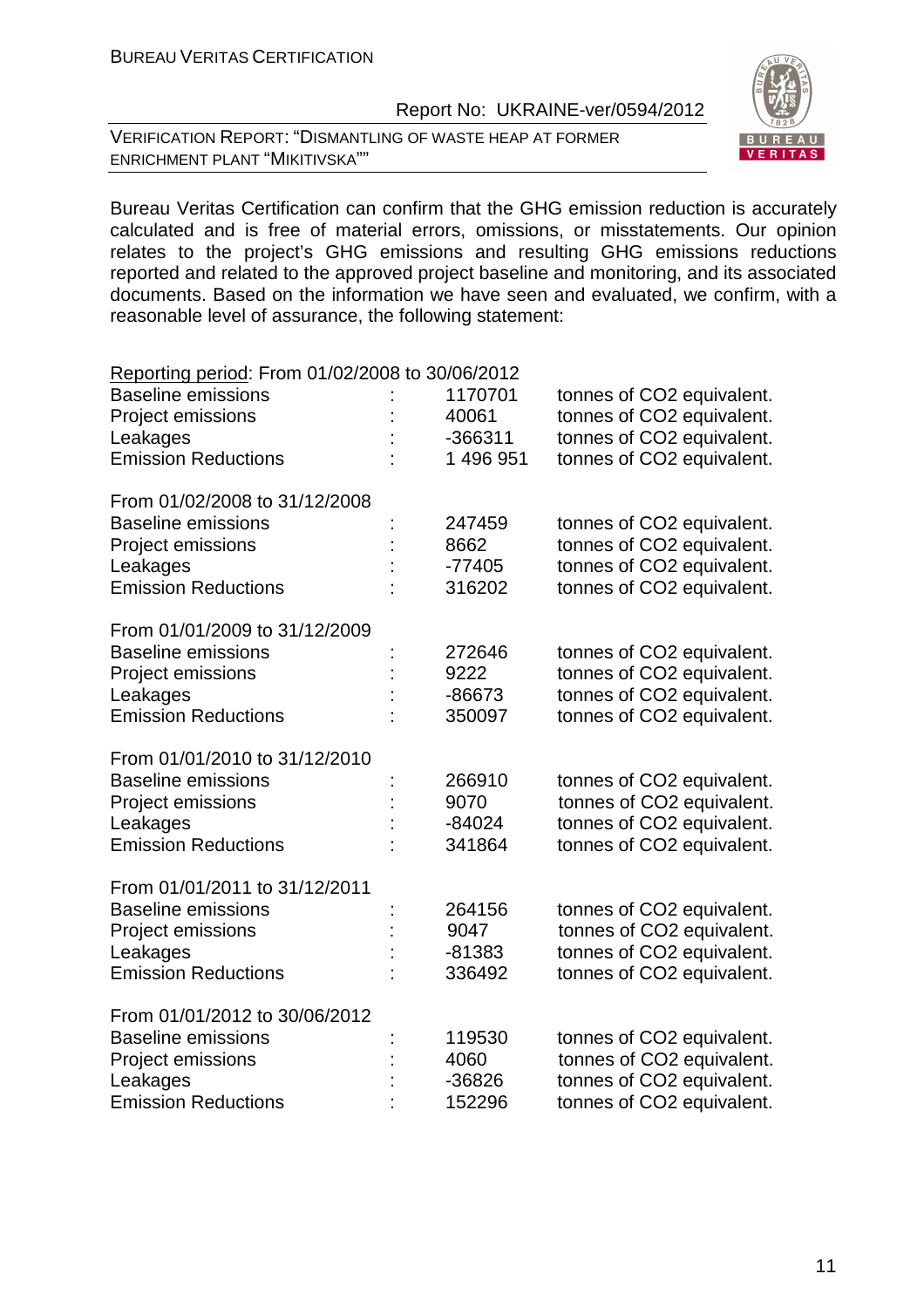VERIFICATION REPORT: "DISMANTLING OF WASTE HEAP AT FORMER ENRICHMENT PLANT "MIKITIVSKA""

Bureau Veritas Certification can confirm that the GHG emission reduction is accurately calculated and is free of material errors, omissions, or misstatements. Our opinion relates to the project's GHG emissions and resulting GHG emissions reductions reported and related to the approved project baseline and monitoring, and its associated documents. Based on the information we have seen and evaluated, we confirm, with a reasonable level of assurance, the following statement:

#### Reporting period: From 01/02/2008 to 30/06/2012 Baseline emissions : 1170701 tonnes of CO2 equivalent. Project emissions : 40061 tonnes of CO2 equivalent. Leakages : -366311 tonnes of CO2 equivalent. Emission Reductions : 1 496 951 tonnes of CO2 equivalent. From 01/02/2008 to 31/12/2008 Baseline emissions : 247459 tonnes of CO2 equivalent. Project emissions : 8662 tonnes of CO2 equivalent. Leakages : -77405 tonnes of CO2 equivalent. Emission Reductions : 316202 tonnes of CO2 equivalent. From 01/01/2009 to 31/12/2009 Baseline emissions : 272646 tonnes of CO2 equivalent. Project emissions : 9222 tonnes of CO2 equivalent. Leakages : -86673 tonnes of CO2 equivalent. Emission Reductions : 350097 tonnes of CO2 equivalent. From 01/01/2010 to 31/12/2010 Baseline emissions : 266910 tonnes of CO2 equivalent. Project emissions : 9070 tonnes of CO2 equivalent. Leakages :  $-84024$  tonnes of CO2 equivalent. Emission Reductions : 341864 tonnes of CO2 equivalent. From 01/01/2011 to 31/12/2011 Baseline emissions : 264156 tonnes of CO2 equivalent. Project emissions : 9047 tonnes of CO2 equivalent. Leakages : -81383 tonnes of CO2 equivalent. Emission Reductions : 336492 tonnes of CO2 equivalent. From 01/01/2012 to 30/06/2012 Baseline emissions : 119530 tonnes of CO2 equivalent. Project emissions : 4060 tonnes of CO2 equivalent. Leakages :  $-36826$  tonnes of CO2 equivalent. Emission Reductions : 152296 tonnes of CO2 equivalent.

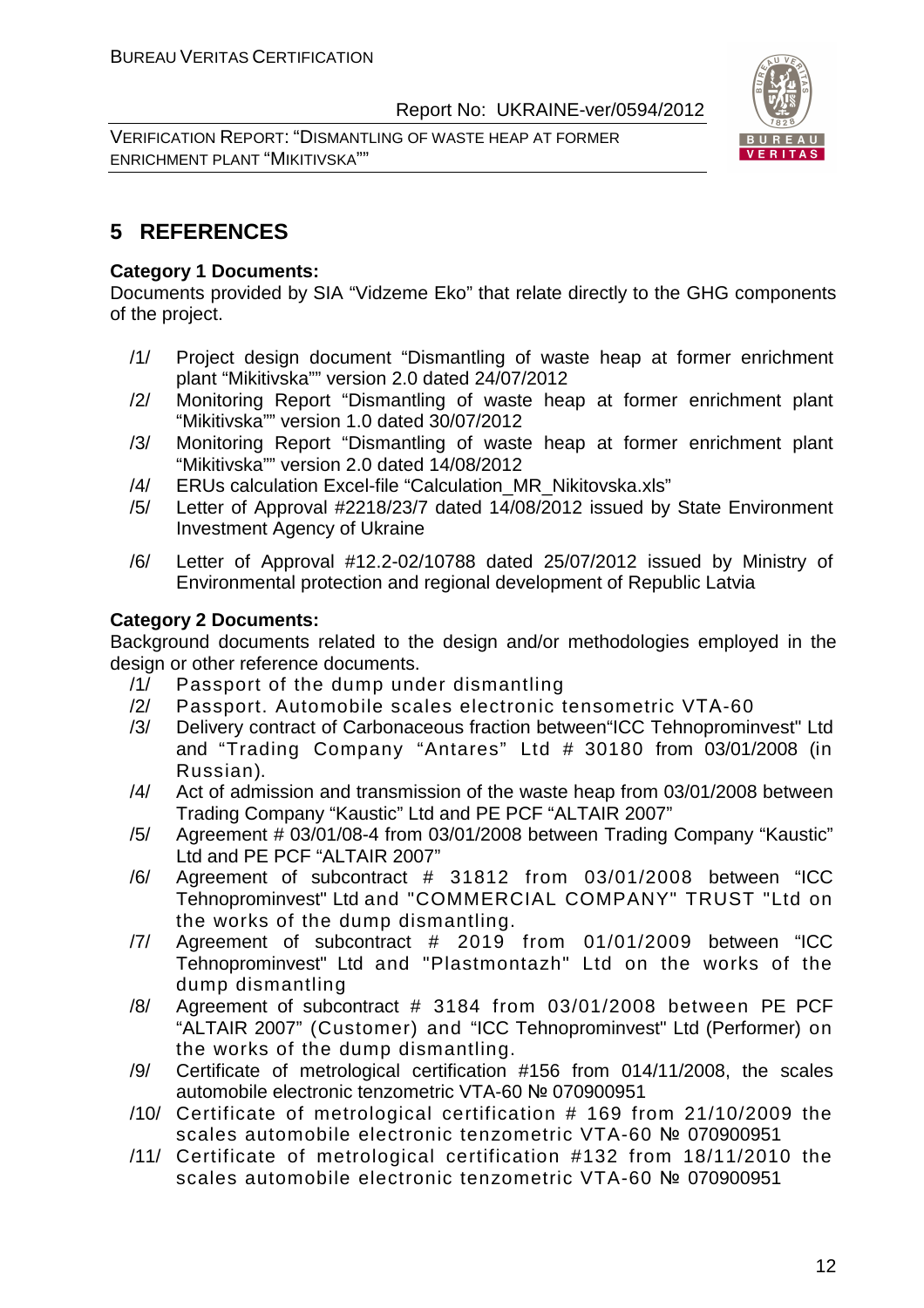VERIFICATION REPORT: "DISMANTLING OF WASTE HEAP AT FORMER ENRICHMENT PLANT "MIKITIVSKA""



#### **5 REFERENCES**

#### **Category 1 Documents:**

Documents provided by SIA "Vidzeme Eko" that relate directly to the GHG components of the project.

- /1/ Project design document "Dismantling of waste heap at former enrichment plant "Mikitivska"" version 2.0 dated 24/07/2012
- /2/ Monitoring Report "Dismantling of waste heap at former enrichment plant "Mikitivska"" version 1.0 dated 30/07/2012
- /3/ Monitoring Report "Dismantling of waste heap at former enrichment plant "Mikitivska"" version 2.0 dated 14/08/2012
- /4/ ERUs calculation Excel-file "Calculation\_MR\_Nikitovska.xls"
- /5/ Letter of Approval #2218/23/7 dated 14/08/2012 issued by State Environment Investment Agency of Ukraine
- /6/ Letter of Approval #12.2-02/10788 dated 25/07/2012 issued by Ministry of Environmental protection and regional development of Republic Latvia

#### **Category 2 Documents:**

Background documents related to the design and/or methodologies employed in the design or other reference documents.

- /1/ Passport of the dump under dismantling
- /2/ Passport. Automobile scales electronic tensometric VТА-60
- /3/ Delivery contract of Carbonaceous fraction between"ICC Tehnoprominvest" Ltd and "Trading Company "Antares" Ltd # 30180 from 03/01/2008 (in Russian).
- /4/ Act of admission and transmission of the waste heap from 03/01/2008 between Trading Company "Kaustic" Ltd and PE PCF "ALTAIR 2007"
- /5/ Agreement # 03/01/08-4 from 03/01/2008 between Trading Company "Kaustic" Ltd and PE PCF "ALTAIR 2007"
- /6/ Agreement of subcontract # 31812 from 03/01/2008 between "ICC Tehnoprominvest" Ltd and "COMMERCIAL COMPANY" TRUST "Ltd on the works of the dump dismantling.
- /7/ Agreement of subcontract # 2019 from 01/01/2009 between "ICC Tehnoprominvest" Ltd and "Plastmontazh" Ltd on the works of the dump dismantling
- /8/ Agreement of subcontract # 3184 from 03/01/2008 between PE PCF "ALTAIR 2007" (Customer) and "ICC Tehnoprominvest" Ltd (Performer) on the works of the dump dismantling.
- /9/ Certificate of metrological certification #156 from 014/11/2008, the scales automobile electronic tenzometric VTA-60 № 070900951
- /10/ Certificate of metrological certification # 169 from 21/10/2009 the scales automobile electronic tenzometric VTA-60 № 070900951
- /11/ Certificate of metrological certification #132 from 18/11/2010 the scales automobile electronic tenzometric VTA-60 № 070900951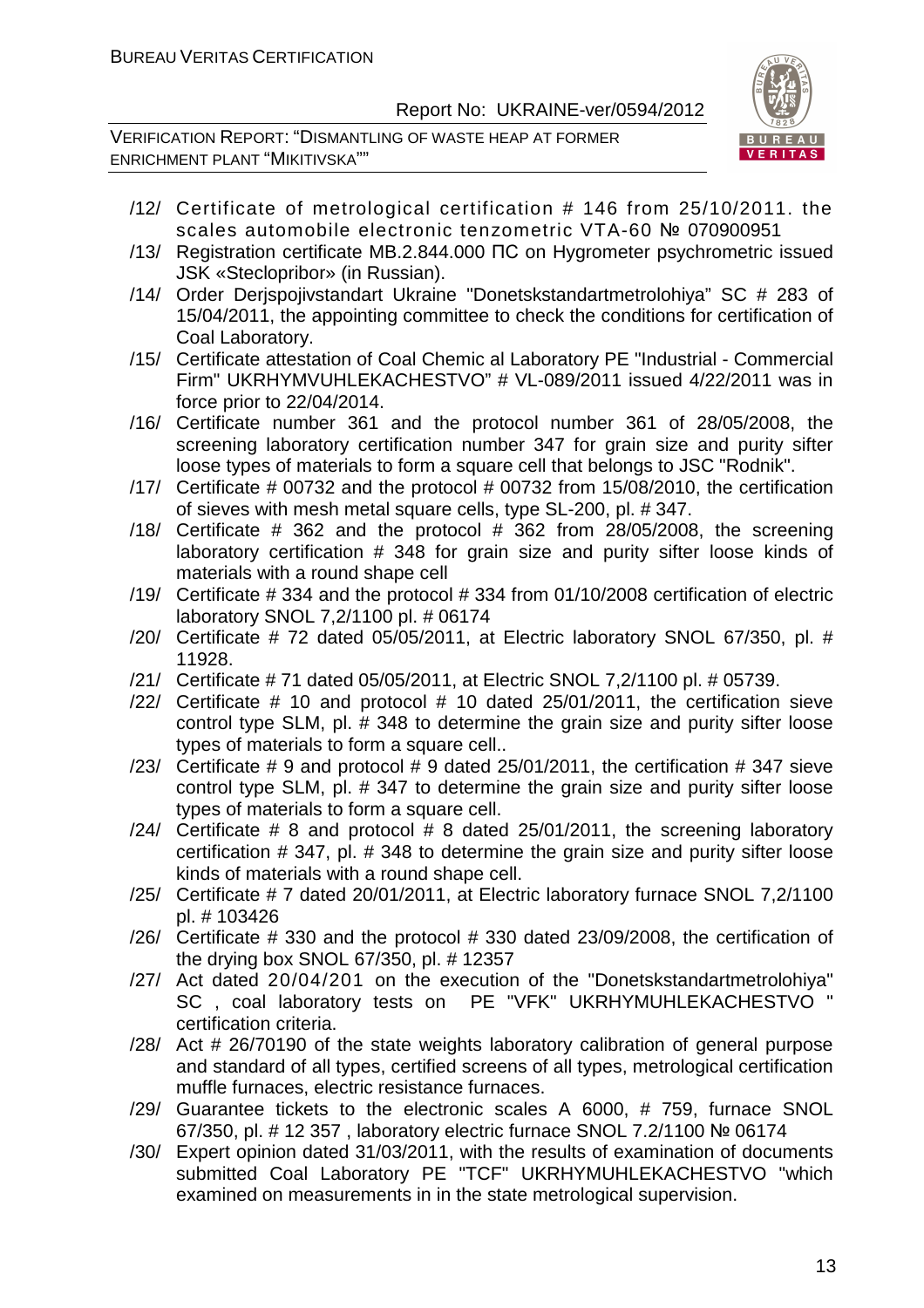VERIFICATION REPORT: "DISMANTLING OF WASTE HEAP AT FORMER ENRICHMENT PLANT "MIKITIVSKA""



- /12/ Certificate of metrological certification # 146 from 25/10/2011. the scales automobile electronic tenzometric VTA-60 № 070900951
- /13/ Registration certificate MB.2.844.000 ПС on Hygrometer psychrometric issued JSK «Steclopribor» (in Russian).
- /14/ Order Derjspojivstandart Ukraine "Donetskstandartmetrolohiya" SC # 283 of 15/04/2011, the appointing committee to check the conditions for certification of Coal Laboratory.
- /15/ Certificate attestation of Coal Chemic al Laboratory PE "Industrial Commercial Firm" UKRHYMVUHLEKACHESTVO" # VL-089/2011 issued 4/22/2011 was in force prior to 22/04/2014.
- /16/ Certificate number 361 and the protocol number 361 of 28/05/2008, the screening laboratory certification number 347 for grain size and purity sifter loose types of materials to form a square cell that belongs to JSC "Rodnik".
- /17/ Certificate # 00732 and the protocol # 00732 from 15/08/2010, the certification of sieves with mesh metal square cells, type SL-200, pl. # 347.
- /18/ Certificate  $#$  362 and the protocol  $#$  362 from 28/05/2008, the screening laboratory certification # 348 for grain size and purity sifter loose kinds of materials with a round shape cell
- /19/ Certificate # 334 and the protocol # 334 from 01/10/2008 certification of electric laboratory SNOL 7,2/1100 pl. # 06174
- /20/ Certificate # 72 dated 05/05/2011, at Electric laboratory SNOL 67/350, pl. # 11928.
- /21/ Certificate # 71 dated 05/05/2011, at Electric SNOL 7,2/1100 pl. # 05739.
- /22/ Certificate # 10 and protocol # 10 dated 25/01/2011, the certification sieve control type SLM, pl. # 348 to determine the grain size and purity sifter loose types of materials to form a square cell..
- /23/ Certificate  $\#$  9 and protocol  $\#$  9 dated 25/01/2011, the certification  $\#$  347 sieve control type SLM, pl. # 347 to determine the grain size and purity sifter loose types of materials to form a square cell.
- $/24/$  Certificate # 8 and protocol # 8 dated 25/01/2011, the screening laboratory certification # 347, pl. # 348 to determine the grain size and purity sifter loose kinds of materials with a round shape cell.
- /25/ Certificate # 7 dated 20/01/2011, at Electric laboratory furnace SNOL 7,2/1100 pl. # 103426
- /26/ Certificate # 330 and the protocol # 330 dated 23/09/2008, the certification of the drying box SNOL 67/350, pl. # 12357
- /27/ Act dated 20/04/201 on the execution of the "Donetskstandartmetrolohiya" SC , coal laboratory tests on PE "VFK" UKRHYMUHLEKACHESTVO " certification criteria.
- /28/ Act # 26/70190 of the state weights laboratory calibration of general purpose and standard of all types, certified screens of all types, metrological certification muffle furnaces, electric resistance furnaces.
- /29/ Guarantee tickets to the electronic scales A 6000, # 759, furnace SNOL 67/350, pl. # 12 357 , laboratory electric furnace SNOL 7.2/1100 № 06174
- /30/ Expert opinion dated 31/03/2011, with the results of examination of documents submitted Coal Laboratory PE "TCF" UKRHYMUHLEKACHESTVO "which examined on measurements in in the state metrological supervision.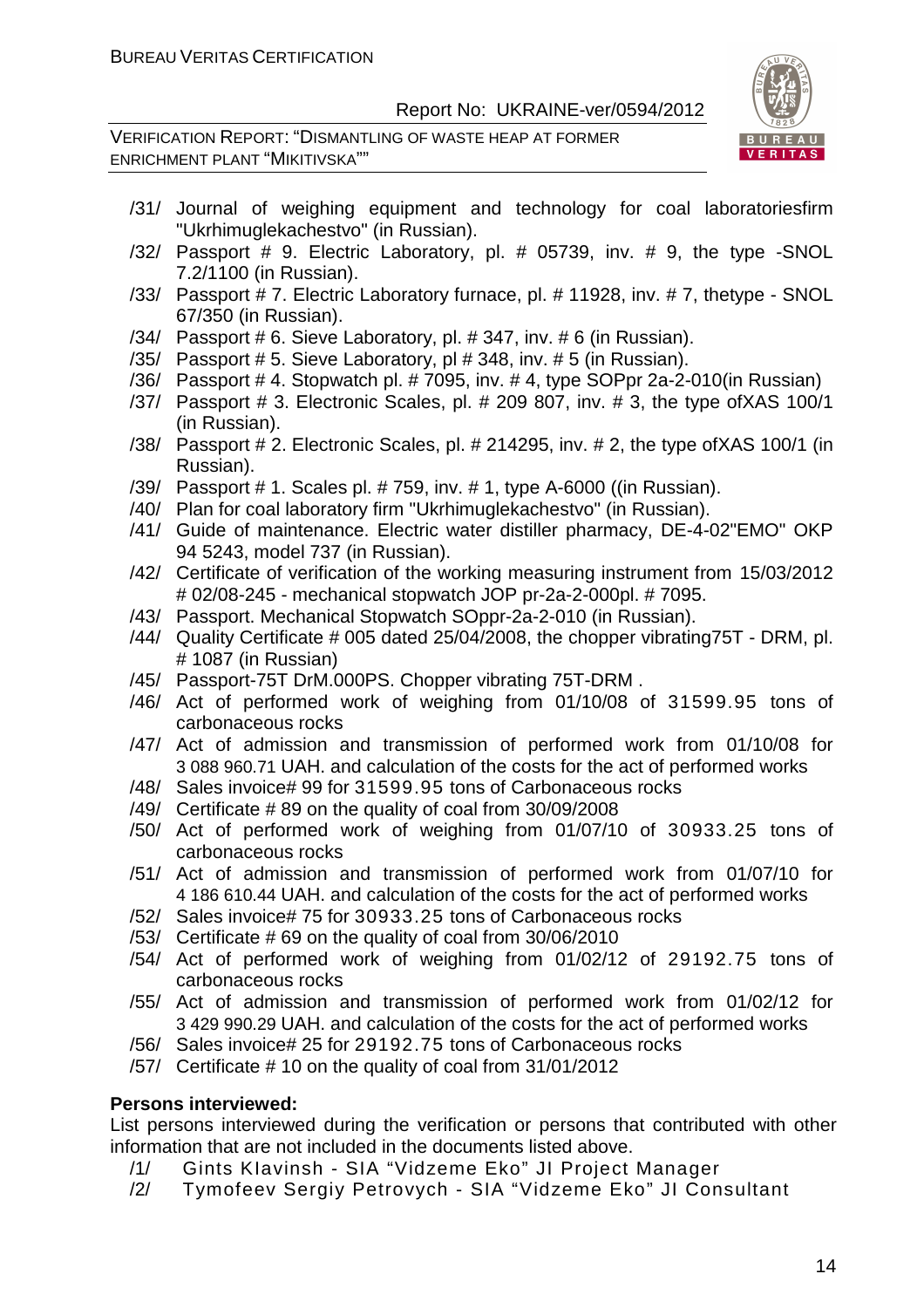VERIFICATION REPORT: "DISMANTLING OF WASTE HEAP AT FORMER ENRICHMENT PLANT "MIKITIVSKA""



- /31/ Journal of weighing equipment and technology for coal laboratoriesfirm "Ukrhimuglekachestvo" (in Russian).
- /32/ Passport # 9. Electric Laboratory, pl. # 05739, inv. # 9, the type -SNOL 7.2/1100 (in Russian).
- /33/ Passport # 7. Electric Laboratory furnace, pl. # 11928, inv. # 7, thetype SNOL 67/350 (in Russian).
- /34/ Passport # 6. Sieve Laboratory, pl. # 347, inv. # 6 (in Russian).
- /35/ Passport # 5. Sieve Laboratory, pl # 348, inv. # 5 (in Russian).
- /36/ Passport # 4. Stopwatch pl. # 7095, inv. # 4, type SOPpr 2a-2-010(in Russian)
- /37/ Passport # 3. Electronic Scales, pl. # 209 807, inv. # 3, the type ofXAS 100/1 (in Russian).
- /38/ Passport # 2. Electronic Scales, pl. # 214295, inv. # 2, the type ofXAS 100/1 (in Russian).
- /39/ Passport # 1. Scales pl. # 759, inv. # 1, type A-6000 ((in Russian).
- /40/ Plan for coal laboratory firm "Ukrhimuglekachestvo" (in Russian).
- /41/ Guide of maintenance. Electric water distiller pharmacy, DE-4-02"EMO" OKP 94 5243, model 737 (in Russian).
- /42/ Certificate of verification of the working measuring instrument from 15/03/2012 # 02/08-245 - mechanical stopwatch JOP pr-2a-2-000pl. # 7095.
- /43/ Passport. Mechanical Stopwatch SOppr-2a-2-010 (in Russian).
- /44/ Quality Certificate # 005 dated 25/04/2008, the chopper vibrating75T DRM, pl. # 1087 (in Russian)
- /45/ Passport-75T DrM.000PS. Chopper vibrating 75T-DRM .
- /46/ Act of performed work of weighing from 01/10/08 of 31599.95 tons of carbonaceous rocks
- /47/ Act of admission and transmission of performed work from 01/10/08 for 3 088 960.71 UAH. and calculation of the costs for the act of performed works
- /48/ Sales invoice# 99 for 31599.95 tons of Carbonaceous rocks
- /49/ Certificate # 89 on the quality of coal from 30/09/2008
- /50/ Act of performed work of weighing from 01/07/10 of 30933.25 tons of carbonaceous rocks
- /51/ Act of admission and transmission of performed work from 01/07/10 for 4 186 610.44 UAH. and calculation of the costs for the act of performed works
- /52/ Sales invoice# 75 for 30933.25 tons of Carbonaceous rocks
- /53/ Certificate # 69 on the quality of coal from 30/06/2010
- /54/ Act of performed work of weighing from 01/02/12 of 29192.75 tons of carbonaceous rocks
- /55/ Act of admission and transmission of performed work from 01/02/12 for 3 429 990.29 UAH. and calculation of the costs for the act of performed works
- /56/ Sales invoice# 25 for 29192.75 tons of Carbonaceous rocks
- /57/ Certificate # 10 on the quality of coal from 31/01/2012

#### **Persons interviewed:**

List persons interviewed during the verification or persons that contributed with other information that are not included in the documents listed above.

- /1/ Gints KIavinsh SIA "Vidzeme Eko" JI Project Manager
- /2/ Tymofeev Sergiy Petrovych SIA "Vidzeme Eko" JI Consultant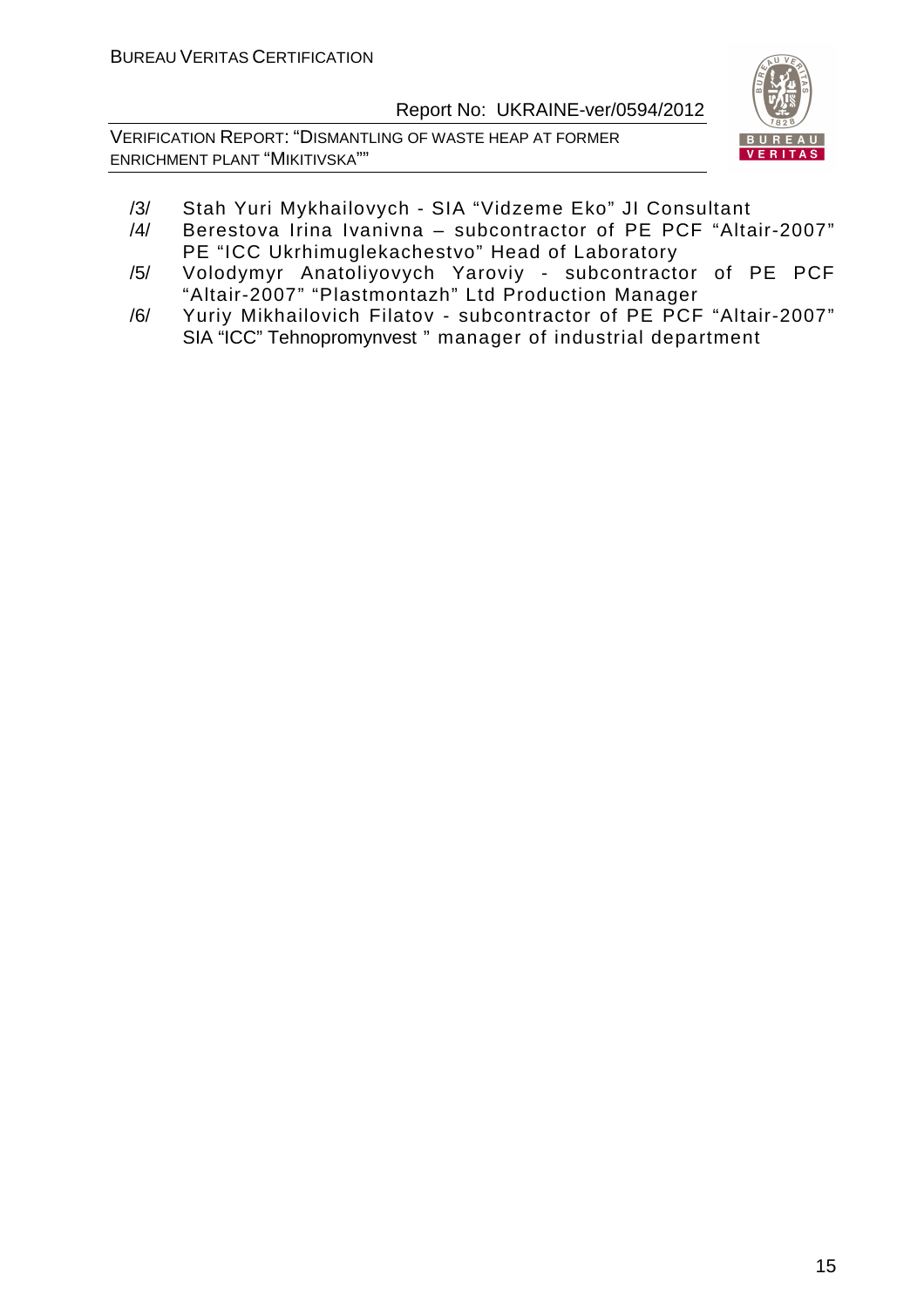VERIFICATION REPORT: "DISMANTLING OF WASTE HEAP AT FORMER ENRICHMENT PLANT "MIKITIVSKA""



- /3/ Stah Yuri Mykhailovych SIA "Vidzeme Eko" JI Consultant
- /4/ Berestova Irina Ivanivna subcontractor of PE PCF "Altair-2007" PE "ICC Ukrhimuglekachestvo" Head of Laboratory
- /5/ Volodymyr Anatoliyovych Yaroviy subcontractor of PE PCF "Altair-2007" "Plastmontazh" Ltd Production Manager
- /6/ Yuriy Mikhailovich Filatov subcontractor of PE PCF "Altair-2007" SIA "ICC" Tehnopromynvest " manager of industrial department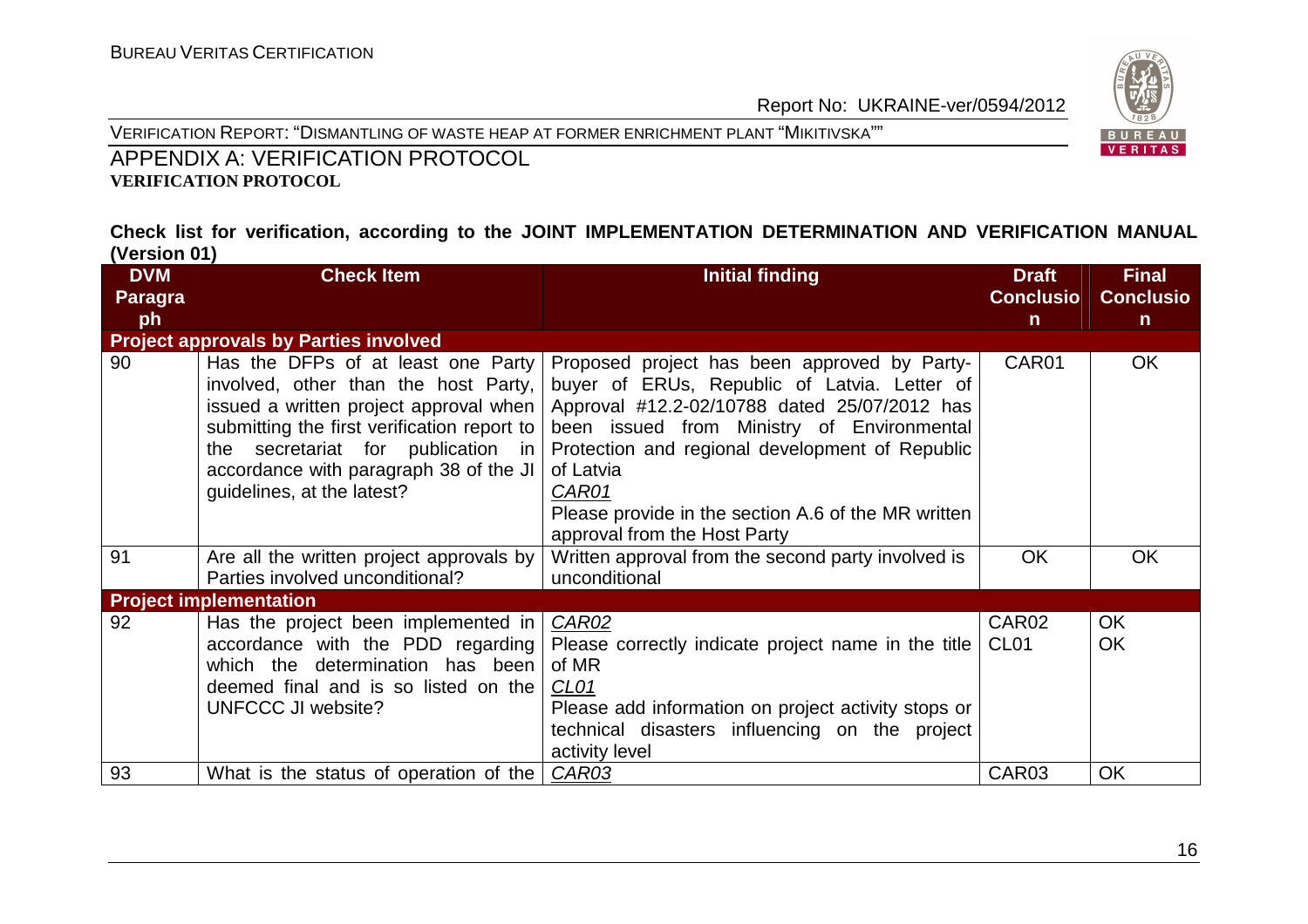



#### APPENDIX A: VERIFICATION PROTOCOL **VERIFICATION PROTOCOL**

#### **Check list for verification, according to the JOINT IMPLEMENTATION DETERMINATION AND VERIFICATION MANUAL (Version 01)**

| <b>DVM</b> | <b>Check Item</b>                                                                                                                                                                                                                                                                 | <b>Initial finding</b>                                                                                                                                                                                                                                                                                                                                     | <b>Draft</b>                          | <b>Final</b>           |
|------------|-----------------------------------------------------------------------------------------------------------------------------------------------------------------------------------------------------------------------------------------------------------------------------------|------------------------------------------------------------------------------------------------------------------------------------------------------------------------------------------------------------------------------------------------------------------------------------------------------------------------------------------------------------|---------------------------------------|------------------------|
| Paragra    |                                                                                                                                                                                                                                                                                   |                                                                                                                                                                                                                                                                                                                                                            | <b>Conclusio</b>                      | <b>Conclusio</b>       |
| ph         |                                                                                                                                                                                                                                                                                   |                                                                                                                                                                                                                                                                                                                                                            | $\mathsf{n}$                          | $\mathsf{n}$           |
|            | <b>Project approvals by Parties involved</b>                                                                                                                                                                                                                                      |                                                                                                                                                                                                                                                                                                                                                            |                                       |                        |
| 90         | Has the DFPs of at least one Party<br>involved, other than the host Party,<br>issued a written project approval when<br>submitting the first verification report to<br>the secretariat for publication in<br>accordance with paragraph 38 of the JI<br>guidelines, at the latest? | Proposed project has been approved by Party-<br>buyer of ERUs, Republic of Latvia. Letter of<br>Approval #12.2-02/10788 dated 25/07/2012 has<br>been issued from Ministry of Environmental<br>Protection and regional development of Republic<br>of Latvia<br>CAR01<br>Please provide in the section A.6 of the MR written<br>approval from the Host Party | CAR01                                 | OK.                    |
| 91         | Are all the written project approvals by<br>Parties involved unconditional?                                                                                                                                                                                                       | Written approval from the second party involved is<br>unconditional                                                                                                                                                                                                                                                                                        | <b>OK</b>                             | <b>OK</b>              |
|            | <b>Project implementation</b>                                                                                                                                                                                                                                                     |                                                                                                                                                                                                                                                                                                                                                            |                                       |                        |
| 92         | Has the project been implemented in<br>accordance with the PDD regarding<br>which the determination has been<br>deemed final and is so listed on the<br>UNFCCC JI website?                                                                                                        | <b>CAR02</b><br>Please correctly indicate project name in the title<br>of MR<br>CL <sub>01</sub><br>Please add information on project activity stops or<br>technical disasters influencing on the project<br>activity level                                                                                                                                | CAR <sub>02</sub><br>CL <sub>01</sub> | <b>OK</b><br><b>OK</b> |
| 93         | What is the status of operation of the                                                                                                                                                                                                                                            | CAR03                                                                                                                                                                                                                                                                                                                                                      | CAR03                                 | <b>OK</b>              |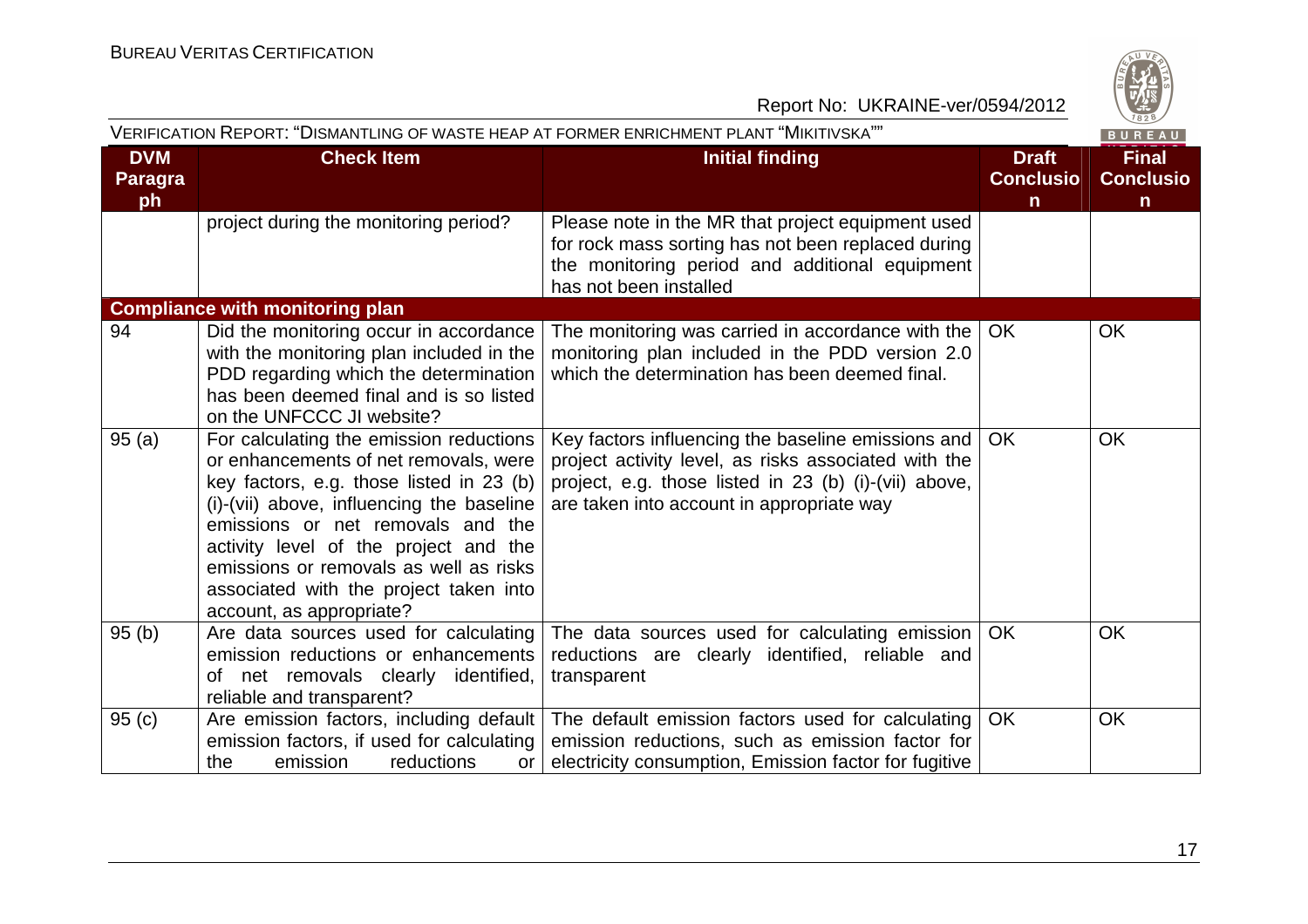

|                                    | VERIFICATION REPORT: "DISMANTLING OF WASTE HEAP AT FORMER ENRICHMENT PLANT "MIKITIVSKA""<br>BUREAU                                                                                                                                                                                                                                                                        |                                                                                                                                                                                                                  |                                                  |                                                  |  |  |
|------------------------------------|---------------------------------------------------------------------------------------------------------------------------------------------------------------------------------------------------------------------------------------------------------------------------------------------------------------------------------------------------------------------------|------------------------------------------------------------------------------------------------------------------------------------------------------------------------------------------------------------------|--------------------------------------------------|--------------------------------------------------|--|--|
| <b>DVM</b><br><b>Paragra</b><br>ph | <b>Check Item</b>                                                                                                                                                                                                                                                                                                                                                         | <b>Initial finding</b>                                                                                                                                                                                           | <b>Draft</b><br><b>Conclusio</b><br>$\mathsf{n}$ | <b>Final</b><br><b>Conclusio</b><br>$\mathsf{n}$ |  |  |
|                                    | project during the monitoring period?                                                                                                                                                                                                                                                                                                                                     | Please note in the MR that project equipment used<br>for rock mass sorting has not been replaced during<br>the monitoring period and additional equipment<br>has not been installed                              |                                                  |                                                  |  |  |
|                                    | <b>Compliance with monitoring plan</b>                                                                                                                                                                                                                                                                                                                                    |                                                                                                                                                                                                                  |                                                  |                                                  |  |  |
| 94                                 | Did the monitoring occur in accordance<br>with the monitoring plan included in the<br>PDD regarding which the determination<br>has been deemed final and is so listed<br>on the UNFCCC JI website?                                                                                                                                                                        | The monitoring was carried in accordance with the<br>monitoring plan included in the PDD version 2.0<br>which the determination has been deemed final.                                                           | <b>OK</b>                                        | <b>OK</b>                                        |  |  |
| 95(a)                              | For calculating the emission reductions<br>or enhancements of net removals, were<br>key factors, e.g. those listed in 23 (b)<br>(i)-(vii) above, influencing the baseline  <br>emissions or net removals and the<br>activity level of the project and the<br>emissions or removals as well as risks<br>associated with the project taken into<br>account, as appropriate? | Key factors influencing the baseline emissions and<br>project activity level, as risks associated with the<br>project, e.g. those listed in 23 (b) (i)-(vii) above,<br>are taken into account in appropriate way | <b>OK</b>                                        | <b>OK</b>                                        |  |  |
| 95(b)                              | Are data sources used for calculating<br>emission reductions or enhancements<br>of net removals clearly identified,<br>reliable and transparent?                                                                                                                                                                                                                          | The data sources used for calculating emission<br>reductions are clearly identified, reliable and<br>transparent                                                                                                 | OK                                               | OK                                               |  |  |
| 95(c)                              | emission factors, if used for calculating<br>reductions<br>the<br>emission<br>or <sub>l</sub>                                                                                                                                                                                                                                                                             | Are emission factors, including default   The default emission factors used for calculating<br>emission reductions, such as emission factor for<br>electricity consumption, Emission factor for fugitive         | <b>OK</b>                                        | <b>OK</b>                                        |  |  |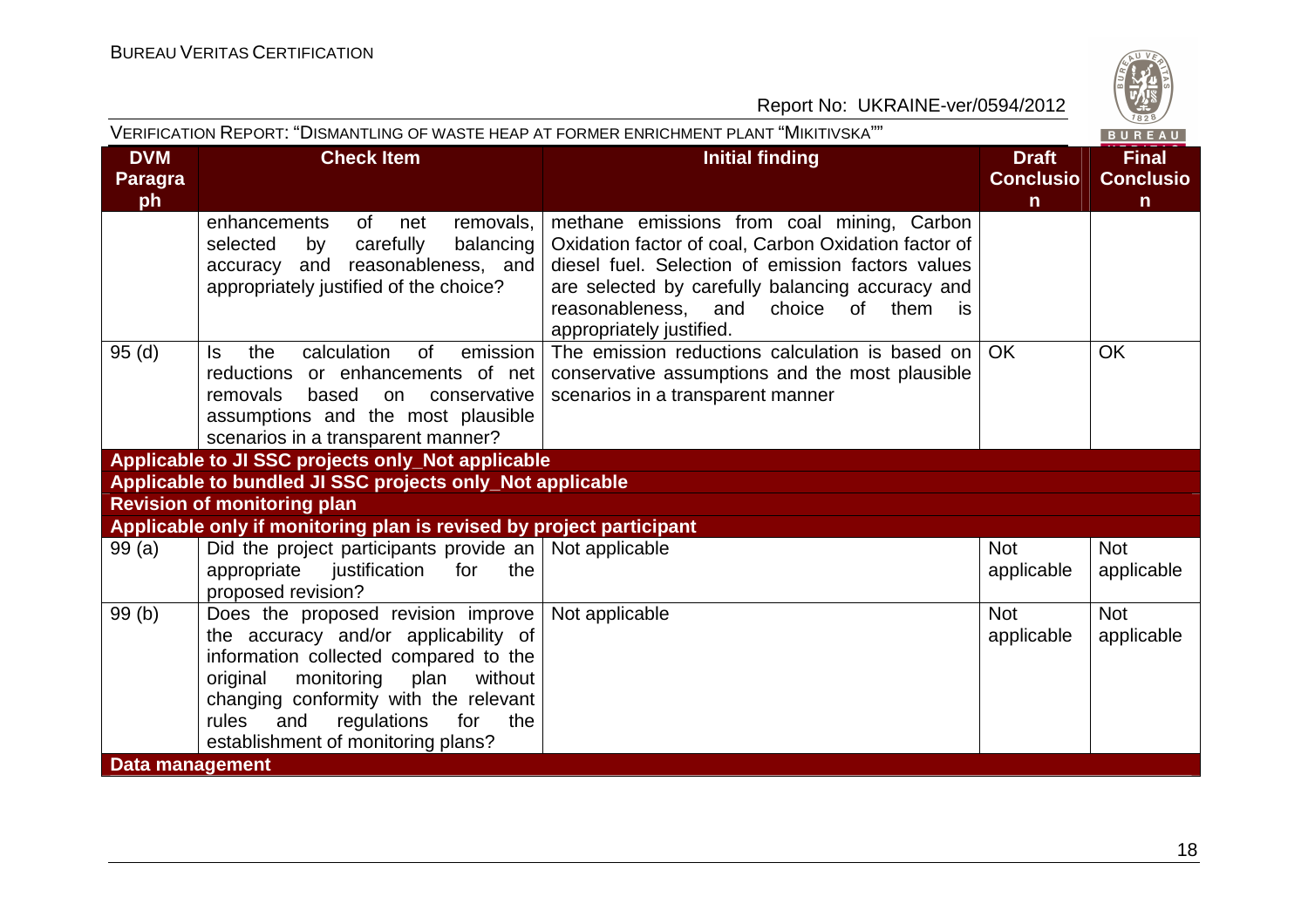

|                                    | VERIFICATION REPORT: "DISMANTLING OF WASTE HEAP AT FORMER ENRICHMENT PLANT "MIKITIVSKA""                                                                                                                                                                                                     |                                                                                                                                                                                                                                                                                  |                                                  |                                                  |  |
|------------------------------------|----------------------------------------------------------------------------------------------------------------------------------------------------------------------------------------------------------------------------------------------------------------------------------------------|----------------------------------------------------------------------------------------------------------------------------------------------------------------------------------------------------------------------------------------------------------------------------------|--------------------------------------------------|--------------------------------------------------|--|
| <b>DVM</b><br><b>Paragra</b><br>ph | <b>Check Item</b>                                                                                                                                                                                                                                                                            | <b>Initial finding</b>                                                                                                                                                                                                                                                           | <b>Draft</b><br><b>Conclusio</b><br>$\mathsf{n}$ | <b>Final</b><br><b>Conclusio</b><br>$\mathsf{n}$ |  |
|                                    | of net<br>removals,<br>enhancements<br>carefully<br>balancing<br>selected<br>by<br>accuracy and reasonableness, and<br>appropriately justified of the choice?                                                                                                                                | methane emissions from coal mining, Carbon<br>Oxidation factor of coal, Carbon Oxidation factor of<br>diesel fuel. Selection of emission factors values<br>are selected by carefully balancing accuracy and<br>reasonableness, and choice of them is<br>appropriately justified. |                                                  |                                                  |  |
| 95(d)                              | calculation<br>of<br>emission<br>the<br>ls.<br>reductions or enhancements of net<br>based<br>removals<br>on<br>conservative<br>assumptions and the most plausible<br>scenarios in a transparent manner?                                                                                      | The emission reductions calculation is based on<br>conservative assumptions and the most plausible<br>scenarios in a transparent manner                                                                                                                                          | <b>OK</b>                                        | <b>OK</b>                                        |  |
|                                    | Applicable to JI SSC projects only_Not applicable                                                                                                                                                                                                                                            |                                                                                                                                                                                                                                                                                  |                                                  |                                                  |  |
|                                    | Applicable to bundled JI SSC projects only_Not applicable                                                                                                                                                                                                                                    |                                                                                                                                                                                                                                                                                  |                                                  |                                                  |  |
|                                    | <b>Revision of monitoring plan</b>                                                                                                                                                                                                                                                           |                                                                                                                                                                                                                                                                                  |                                                  |                                                  |  |
|                                    | Applicable only if monitoring plan is revised by project participant                                                                                                                                                                                                                         |                                                                                                                                                                                                                                                                                  |                                                  |                                                  |  |
| 99(a)                              | Did the project participants provide an $\vert$ Not applicable<br>appropriate<br>justification<br>the<br>for<br>proposed revision?                                                                                                                                                           |                                                                                                                                                                                                                                                                                  | <b>Not</b><br>applicable                         | <b>Not</b><br>applicable                         |  |
| 99(b)                              | Does the proposed revision improve<br>the accuracy and/or applicability of<br>information collected compared to the<br>plan<br>original<br>monitoring<br>without<br>changing conformity with the relevant<br>regulations<br>rules<br>and<br>the<br>for<br>establishment of monitoring plans? | Not applicable                                                                                                                                                                                                                                                                   | <b>Not</b><br>applicable                         | <b>Not</b><br>applicable                         |  |
| Data management                    |                                                                                                                                                                                                                                                                                              |                                                                                                                                                                                                                                                                                  |                                                  |                                                  |  |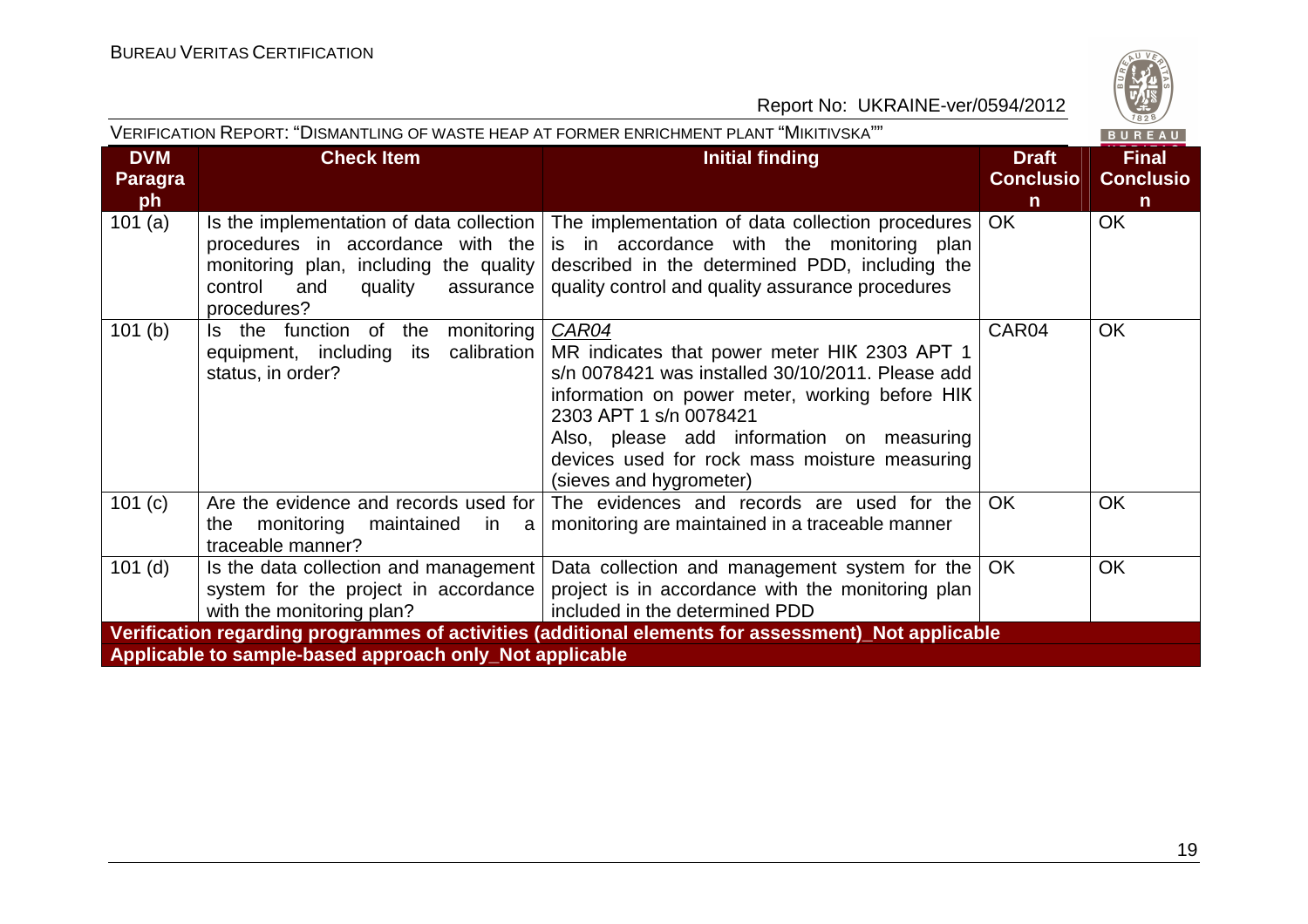

| Report No: UKRAINE-ver/0594/2012   |                                                                                                                                                                                  |                                                                                                                                                                                                                                                                                                                |                                       |                                       |
|------------------------------------|----------------------------------------------------------------------------------------------------------------------------------------------------------------------------------|----------------------------------------------------------------------------------------------------------------------------------------------------------------------------------------------------------------------------------------------------------------------------------------------------------------|---------------------------------------|---------------------------------------|
|                                    | VERIFICATION REPORT: "DISMANTLING OF WASTE HEAP AT FORMER ENRICHMENT PLANT "MIKITIVSKA""                                                                                         |                                                                                                                                                                                                                                                                                                                |                                       | $\frac{120}{1828}$<br>BUREAU          |
| <b>DVM</b><br><b>Paragra</b><br>ph | <b>Check Item</b>                                                                                                                                                                | <b>Initial finding</b>                                                                                                                                                                                                                                                                                         | <b>Draft</b><br><b>Conclusio</b><br>n | <b>Final</b><br><b>Conclusio</b><br>n |
| 101(a)                             | Is the implementation of data collection<br>procedures in accordance with the<br>monitoring plan, including the quality<br>and<br>control<br>quality<br>assurance<br>procedures? | The implementation of data collection procedures<br>is in accordance with the monitoring plan<br>described in the determined PDD, including the<br>quality control and quality assurance procedures                                                                                                            | OK                                    | <b>OK</b>                             |
| 101(b)                             | Is the function of<br>the<br>monitoring<br>equipment, including<br>its calibration<br>status, in order?                                                                          | CAR04<br>MR indicates that power meter HIK 2303 APT 1<br>s/n 0078421 was installed 30/10/2011. Please add<br>information on power meter, working before HIK<br>2303 APT 1 s/n 0078421<br>Also, please add information on measuring<br>devices used for rock mass moisture measuring<br>(sieves and hygrometer) | CAR04                                 | <b>OK</b>                             |
| 101 (c)                            | Are the evidence and records used for<br>monitoring<br>the<br>maintained<br>in<br>a<br>traceable manner?                                                                         | The evidences and records are used for the<br>monitoring are maintained in a traceable manner                                                                                                                                                                                                                  | <b>OK</b>                             | OK                                    |
| $101$ (d)                          | Is the data collection and management  <br>system for the project in accordance<br>with the monitoring plan?                                                                     | Data collection and management system for the<br>project is in accordance with the monitoring plan<br>included in the determined PDD                                                                                                                                                                           | <b>OK</b>                             | OK                                    |
|                                    |                                                                                                                                                                                  | Verification regarding programmes of activities (additional elements for assessment)_Not applicable                                                                                                                                                                                                            |                                       |                                       |
|                                    | Applicable to sample-based approach only_Not applicable                                                                                                                          |                                                                                                                                                                                                                                                                                                                |                                       |                                       |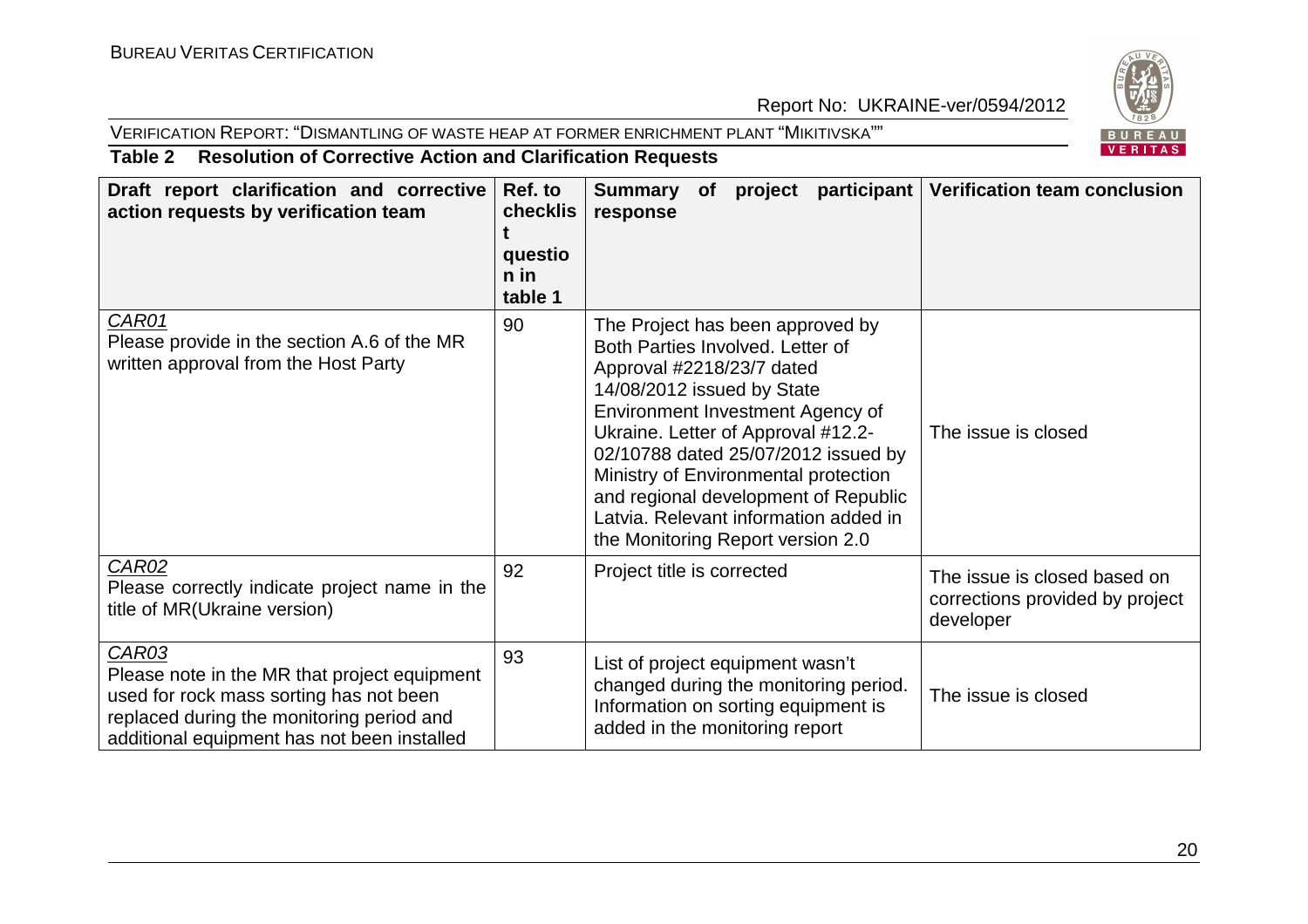#### VERIFICATION REPORT: "DISMANTLING OF WASTE HEAP AT FORMER ENRICHMENT PLANT "MIKITIVSKA""



#### **Table 2 Resolution of Corrective Action and Clarification Requests**

| Draft report clarification and corrective<br>action requests by verification team                                                                                                            | Ref. to<br>checklis<br>questio<br>$n$ in<br>table 1 | Summary of<br>project<br>response                                                                                                                                                                                                                                                                                                                                                                              | participant   Verification team conclusion                                   |
|----------------------------------------------------------------------------------------------------------------------------------------------------------------------------------------------|-----------------------------------------------------|----------------------------------------------------------------------------------------------------------------------------------------------------------------------------------------------------------------------------------------------------------------------------------------------------------------------------------------------------------------------------------------------------------------|------------------------------------------------------------------------------|
| CAR01<br>Please provide in the section A.6 of the MR<br>written approval from the Host Party                                                                                                 | 90                                                  | The Project has been approved by<br>Both Parties Involved. Letter of<br>Approval #2218/23/7 dated<br>14/08/2012 issued by State<br>Environment Investment Agency of<br>Ukraine. Letter of Approval #12.2-<br>02/10788 dated 25/07/2012 issued by<br>Ministry of Environmental protection<br>and regional development of Republic<br>Latvia. Relevant information added in<br>the Monitoring Report version 2.0 | The issue is closed                                                          |
| CAR02<br>Please correctly indicate project name in the<br>title of MR(Ukraine version)                                                                                                       | 92                                                  | Project title is corrected                                                                                                                                                                                                                                                                                                                                                                                     | The issue is closed based on<br>corrections provided by project<br>developer |
| CAR03<br>Please note in the MR that project equipment<br>used for rock mass sorting has not been<br>replaced during the monitoring period and<br>additional equipment has not been installed | 93                                                  | List of project equipment wasn't<br>changed during the monitoring period.<br>Information on sorting equipment is<br>added in the monitoring report                                                                                                                                                                                                                                                             | The issue is closed                                                          |